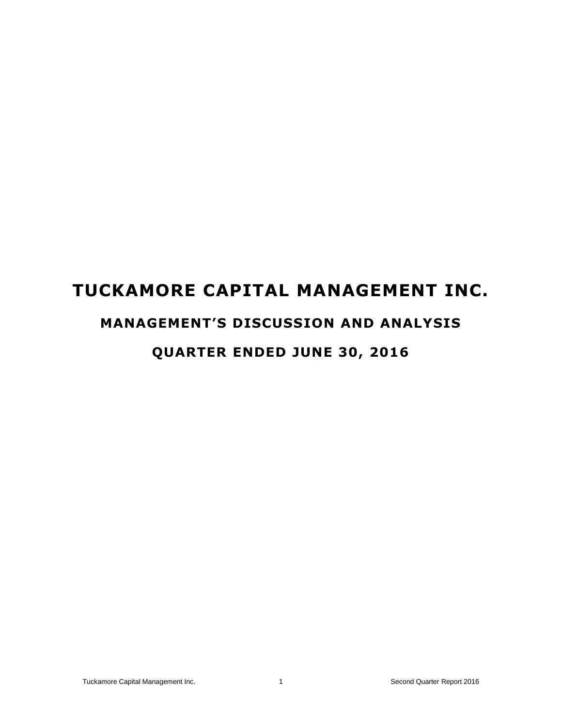## **TUCKAMORE CAPITAL MANAGEMENT INC.**

# **MANAGEMENT'S DISCUSSION AND ANALYSIS**

## **QUARTER ENDED JUNE 30, 2016**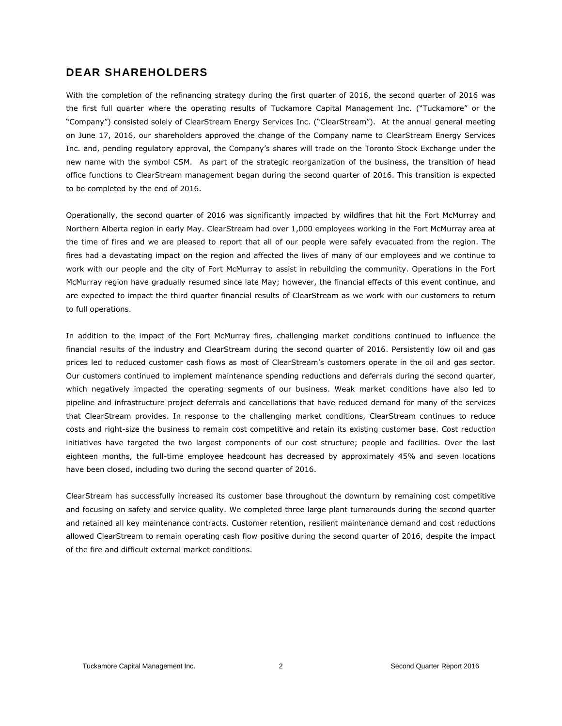## **DEAR SHAREHOLDERS**

With the completion of the refinancing strategy during the first quarter of 2016, the second quarter of 2016 was the first full quarter where the operating results of Tuckamore Capital Management Inc. ("Tuckamore" or the "Company") consisted solely of ClearStream Energy Services Inc. ("ClearStream"). At the annual general meeting on June 17, 2016, our shareholders approved the change of the Company name to ClearStream Energy Services Inc. and, pending regulatory approval, the Company's shares will trade on the Toronto Stock Exchange under the new name with the symbol CSM. As part of the strategic reorganization of the business, the transition of head office functions to ClearStream management began during the second quarter of 2016. This transition is expected to be completed by the end of 2016.

Operationally, the second quarter of 2016 was significantly impacted by wildfires that hit the Fort McMurray and Northern Alberta region in early May. ClearStream had over 1,000 employees working in the Fort McMurray area at the time of fires and we are pleased to report that all of our people were safely evacuated from the region. The fires had a devastating impact on the region and affected the lives of many of our employees and we continue to work with our people and the city of Fort McMurray to assist in rebuilding the community. Operations in the Fort McMurray region have gradually resumed since late May; however, the financial effects of this event continue, and are expected to impact the third quarter financial results of ClearStream as we work with our customers to return to full operations.

In addition to the impact of the Fort McMurray fires, challenging market conditions continued to influence the financial results of the industry and ClearStream during the second quarter of 2016. Persistently low oil and gas prices led to reduced customer cash flows as most of ClearStream's customers operate in the oil and gas sector. Our customers continued to implement maintenance spending reductions and deferrals during the second quarter, which negatively impacted the operating segments of our business. Weak market conditions have also led to pipeline and infrastructure project deferrals and cancellations that have reduced demand for many of the services that ClearStream provides. In response to the challenging market conditions, ClearStream continues to reduce costs and right-size the business to remain cost competitive and retain its existing customer base. Cost reduction initiatives have targeted the two largest components of our cost structure; people and facilities. Over the last eighteen months, the full-time employee headcount has decreased by approximately 45% and seven locations have been closed, including two during the second quarter of 2016.

ClearStream has successfully increased its customer base throughout the downturn by remaining cost competitive and focusing on safety and service quality. We completed three large plant turnarounds during the second quarter and retained all key maintenance contracts. Customer retention, resilient maintenance demand and cost reductions allowed ClearStream to remain operating cash flow positive during the second quarter of 2016, despite the impact of the fire and difficult external market conditions.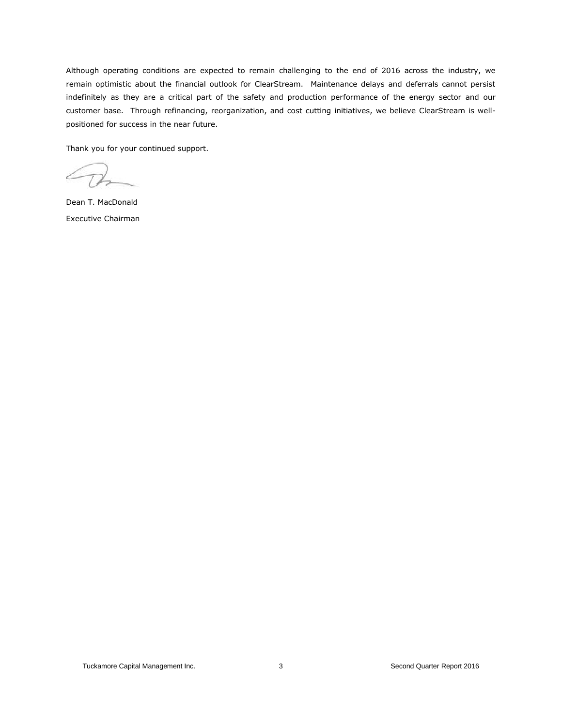Although operating conditions are expected to remain challenging to the end of 2016 across the industry, we remain optimistic about the financial outlook for ClearStream. Maintenance delays and deferrals cannot persist indefinitely as they are a critical part of the safety and production performance of the energy sector and our customer base. Through refinancing, reorganization, and cost cutting initiatives, we believe ClearStream is wellpositioned for success in the near future.

Thank you for your continued support.

Dean T. MacDonald Executive Chairman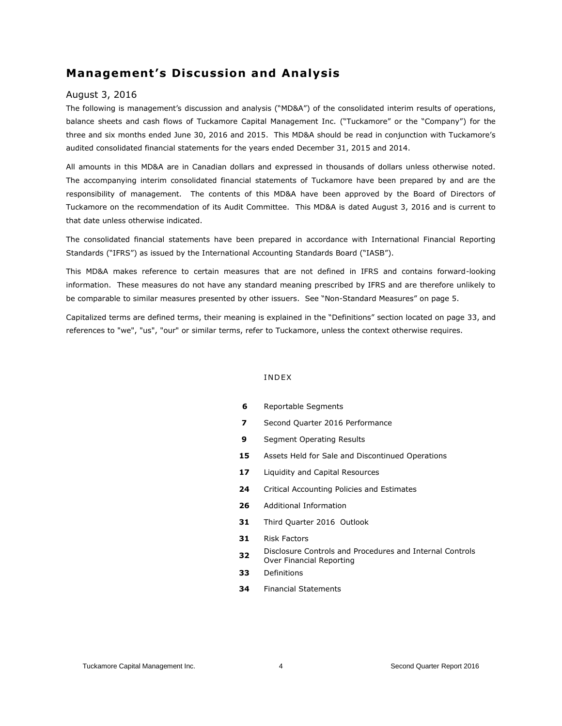## **Management's Discussion and Analysis**

#### August 3, 2016

The following is management's discussion and analysis ("MD&A") of the consolidated interim results of operations, balance sheets and cash flows of Tuckamore Capital Management Inc. ("Tuckamore" or the "Company") for the three and six months ended June 30, 2016 and 2015. This MD&A should be read in conjunction with Tuckamore's audited consolidated financial statements for the years ended December 31, 2015 and 2014.

All amounts in this MD&A are in Canadian dollars and expressed in thousands of dollars unless otherwise noted. The accompanying interim consolidated financial statements of Tuckamore have been prepared by and are the responsibility of management. The contents of this MD&A have been approved by the Board of Directors of Tuckamore on the recommendation of its Audit Committee. This MD&A is dated August 3, 2016 and is current to that date unless otherwise indicated.

The consolidated financial statements have been prepared in accordance with International Financial Reporting Standards ("IFRS") as issued by the International Accounting Standards Board ("IASB").

This MD&A makes reference to certain measures that are not defined in IFRS and contains forward-looking information. These measures do not have any standard meaning prescribed by IFRS and are therefore unlikely to be comparable to similar measures presented by other issuers. See "Non-Standard Measures" on page 5.

Capitalized terms are defined terms, their meaning is explained in the "Definitions" section located on page 33, and references to "we", "us", "our" or similar terms, refer to Tuckamore, unless the context otherwise requires.

#### I NDEX

- **6** Reportable Segments
- **7** Second Quarter 2016 Performance
- **9** Segment Operating Results
- **15** Assets Held for Sale and Discontinued Operations
- 17 Liquidity and Capital Resources
- **24** Critical Accounting Policies and Estimates
- **26** Additional Information
- **31** Third Quarter 2016 Outlook
- **31** Risk Factors
- **32** Disclosure Controls and Procedures and Internal Controls Over Financial Reporting
- **33** Definitions
- **34** Financial Statements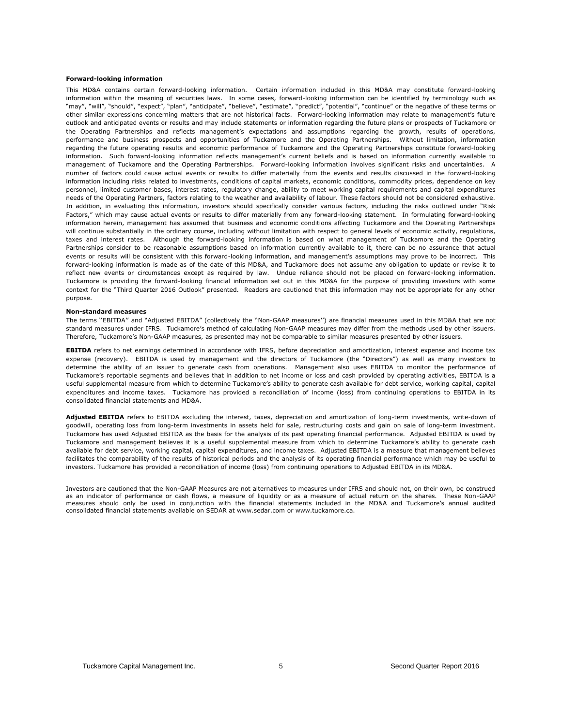#### **Forward-looking information**

This MD&A contains certain forward-looking information. Certain information included in this MD&A may constitute forward-looking information within the meaning of securities laws. In some cases, forward-looking information can be identified by terminology such as "may", "will", "should", "expect", "plan", "anticipate", "believe", "estimate", "predict", "potential", "continue" or the negative of these terms or other similar expressions concerning matters that are not historical facts. Forward-looking information may relate to management's future outlook and anticipated events or results and may include statements or information regarding the future plans or prospects of Tuckamore or the Operating Partnerships and reflects management's expectations and assumptions regarding the growth, results of operations, performance and business prospects and opportunities of Tuckamore and the Operating Partnerships. Without limitation, information regarding the future operating results and economic performance of Tuckamore and the Operating Partnerships constitute forward-looking information. Such forward-looking information reflects management's current beliefs and is based on information currently available to management of Tuckamore and the Operating Partnerships. Forward-looking information involves significant risks and uncertainties. A number of factors could cause actual events or results to differ materially from the events and results discussed in the forward-looking information including risks related to investments, conditions of capital markets, economic conditions, commodity prices, dependence on key personnel, limited customer bases, interest rates, regulatory change, ability to meet working capital requirements and capital expenditures needs of the Operating Partners, factors relating to the weather and availability of labour. These factors should not be considered exhaustive. In addition, in evaluating this information, investors should specifically consider various factors, including the risks outlined under "Risk Factors," which may cause actual events or results to differ materially from any forward-looking statement. In formulating forward-looking information herein, management has assumed that business and economic conditions affecting Tuckamore and the Operating Partnerships will continue substantially in the ordinary course, including without limitation with respect to general levels of economic activity, regulations, taxes and interest rates. Although the forward-looking information is based on what management of Tuckamore and the Operating Partnerships consider to be reasonable assumptions based on information currently available to it, there can be no assurance that actual events or results will be consistent with this forward-looking information, and management's assumptions may prove to be incorrect. This forward-looking information is made as of the date of this MD&A, and Tuckamore does not assume any obligation to update or revise it to reflect new events or circumstances except as required by law. Undue reliance should not be placed on forward-looking information. Tuckamore is providing the forward-looking financial information set out in this MD&A for the purpose of providing investors with some context for the "Third Quarter 2016 Outlook" presented. Readers are cautioned that this information may not be appropriate for any other purpose.

#### **Non-standard measures**

The terms ''EBITDA'' and "Adjusted EBITDA" (collectively the ''Non-GAAP measures'') are financial measures used in this MD&A that are not standard measures under IFRS. Tuckamore's method of calculating Non-GAAP measures may differ from the methods used by other issuers. Therefore, Tuckamore's Non-GAAP measures, as presented may not be comparable to similar measures presented by other issuers.

**EBITDA** refers to net earnings determined in accordance with IFRS, before depreciation and amortization, interest expense and income tax expense (recovery). EBITDA is used by management and the directors of Tuckamore (the "Directors") as well as many investors to determine the ability of an issuer to generate cash from operations. Management also uses EBITDA to monitor the performance of Tuckamore's reportable segments and believes that in addition to net income or loss and cash provided by operating activities, EBITDA is a useful supplemental measure from which to determine Tuckamore's ability to generate cash available for debt service, working capital, capital expenditures and income taxes. Tuckamore has provided a reconciliation of income (loss) from continuing operations to EBITDA in its consolidated financial statements and MD&A.

**Adjusted EBITDA** refers to EBITDA excluding the interest, taxes, depreciation and amortization of long-term investments, write-down of goodwill, operating loss from long-term investments in assets held for sale, restructuring costs and gain on sale of long-term investment. Tuckamore has used Adjusted EBITDA as the basis for the analysis of its past operating financial performance. Adjusted EBITDA is used by Tuckamore and management believes it is a useful supplemental measure from which to determine Tuckamore's ability to generate cash available for debt service, working capital, capital expenditures, and income taxes. Adjusted EBITDA is a measure that management believes facilitates the comparability of the results of historical periods and the analysis of its operating financial performance which may be useful to investors. Tuckamore has provided a reconciliation of income (loss) from continuing operations to Adjusted EBITDA in its MD&A.

Investors are cautioned that the Non-GAAP Measures are not alternatives to measures under IFRS and should not, on their own, be construed as an indicator of performance or cash flows, a measure of liquidity or as a measure of actual return on the shares. These Non-GAAP measures should only be used in conjunction with the financial statements included in the MD&A and Tuckamore's annual audited consolidated financial statements available on SEDAR at [www.sedar.com](http://www.sedar.com/) or www.tuckamore.ca.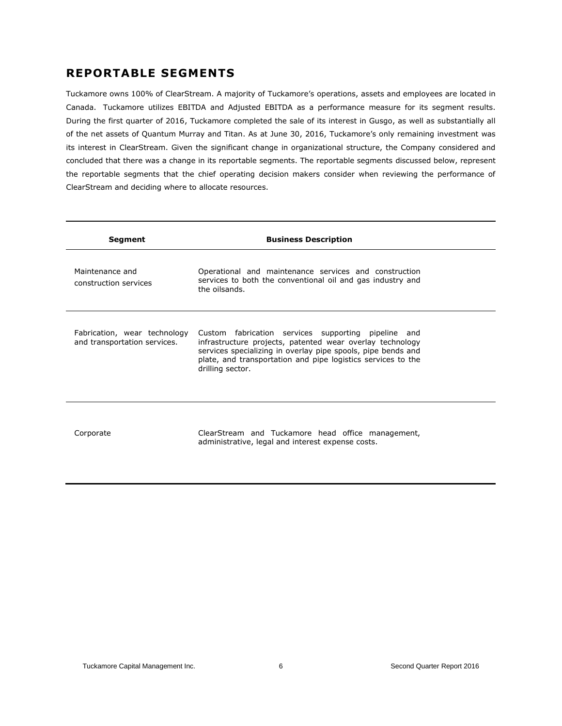## **REPORTABLE SEGMENTS**

Tuckamore owns 100% of ClearStream. A majority of Tuckamore's operations, assets and employees are located in Canada. Tuckamore utilizes EBITDA and Adjusted EBITDA as a performance measure for its segment results. During the first quarter of 2016, Tuckamore completed the sale of its interest in Gusgo, as well as substantially all of the net assets of Quantum Murray and Titan. As at June 30, 2016, Tuckamore's only remaining investment was its interest in ClearStream. Given the significant change in organizational structure, the Company considered and concluded that there was a change in its reportable segments. The reportable segments discussed below, represent the reportable segments that the chief operating decision makers consider when reviewing the performance of ClearStream and deciding where to allocate resources.

| <b>Segment</b>                                               | <b>Business Description</b>                                                                                                                                                                                                                                          |
|--------------------------------------------------------------|----------------------------------------------------------------------------------------------------------------------------------------------------------------------------------------------------------------------------------------------------------------------|
| Maintenance and<br>construction services                     | Operational and maintenance services and construction<br>services to both the conventional oil and gas industry and<br>the oilsands.                                                                                                                                 |
| Fabrication, wear technology<br>and transportation services. | Custom fabrication services supporting pipeline and<br>infrastructure projects, patented wear overlay technology<br>services specializing in overlay pipe spools, pipe bends and<br>plate, and transportation and pipe logistics services to the<br>drilling sector. |
| Corporate                                                    | ClearStream and Tuckamore head office management,<br>administrative, legal and interest expense costs.                                                                                                                                                               |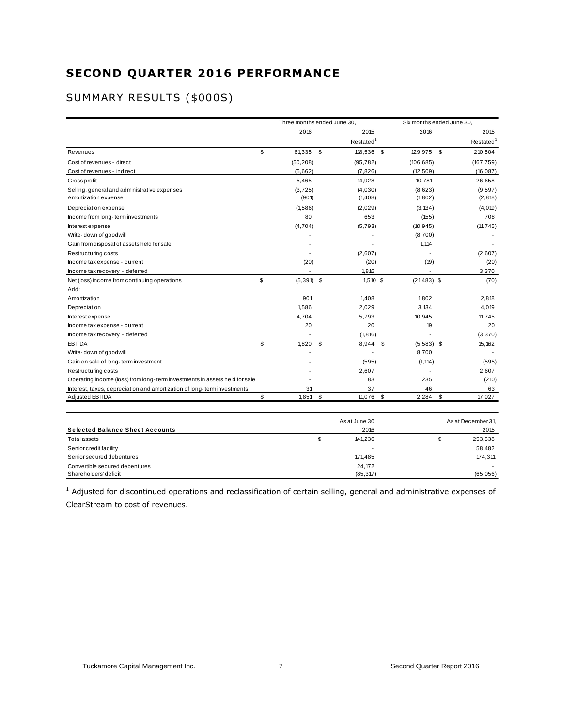## **SECOND QUARTER 2016 PERFORMANCE**

## SUMMARY RESULTS (\$000S)

|                                                                            | Three months ended June 30. |                       | Six months ended June 30, |                       |
|----------------------------------------------------------------------------|-----------------------------|-----------------------|---------------------------|-----------------------|
|                                                                            | 2016                        | 2015                  | 2016                      | 2015                  |
|                                                                            |                             | Restated <sup>1</sup> |                           | Restated <sup>1</sup> |
| Revenues                                                                   | \$<br>61,335 \$             | 118,536 \$            | 129,975 \$                | 210,504               |
| Cost of revenues - direct                                                  | (50, 208)                   | (95, 782)             | (106, 685)                | (167, 759)            |
| Cost of revenues - indirect                                                | (5,662)                     | (7, 826)              | (12, 509)                 | (16, 087)             |
| Gross profit                                                               | 5,465                       | 14,928                | 10.781                    | 26,658                |
| Selling, general and administrative expenses                               | (3, 725)                    | (4,030)               | (8,623)                   | (9,597)               |
| Amortization expense                                                       | (901)                       | (1, 408)              | (1, 802)                  | (2, 818)              |
| Depreciation expense                                                       | (1,586)                     | (2,029)               | (3, 134)                  | (4, 019)              |
| Income from long-term investments                                          | 80                          | 653                   | (155)                     | 708                   |
| Interest expense                                                           | (4,704)                     | (5, 793)              | (10, 945)                 | (11, 745)             |
| Write-down of goodwill                                                     |                             |                       | (8,700)                   |                       |
| Gain from disposal of assets held for sale                                 |                             |                       | 1,114                     |                       |
| Restructuring costs                                                        |                             | (2,607)               |                           | (2,607)               |
| Income tax expense - current                                               | (20)                        | (20)                  | (19)                      | (20)                  |
| Income tax recovery - deferred                                             |                             | 1,816                 |                           | 3,370                 |
| Net (loss) income from continuing operations                               | \$<br>$(5,391)$ \$          | $1,510$ \$            | $(21, 483)$ \$            | (70)                  |
| Add:                                                                       |                             |                       |                           |                       |
| Amortization                                                               | 901                         | 1,408                 | 1.802                     | 2,818                 |
| Depreciation                                                               | 1,586                       | 2,029                 | 3,134                     | 4,019                 |
| Interest expense                                                           | 4,704                       | 5.793                 | 10,945                    | 11.745                |
| Income tax expense - current                                               | 20                          | 20                    | 19                        | 20                    |
| Income tax recovery - deferred                                             |                             | (1, 816)              |                           | (3,370)               |
| <b>EBITDA</b>                                                              | \$<br>1,820                 | \$<br>8,944 \$        | $(5,583)$ \$              | 15, 162               |
| Write-down of goodwill                                                     |                             |                       | 8,700                     |                       |
| Gain on sale of long-term investment                                       |                             | (595)                 | (1, 114)                  | (595)                 |
| Restructuring costs                                                        |                             | 2,607                 |                           | 2,607                 |
| Operating income (loss) from long-term investments in assets held for sale |                             | 83                    | 235                       | (210)                 |
| Interest, taxes, depreciation and amortization of long-term investments    | 31                          | 37                    | 46                        | 63                    |
| <b>Adjusted EBITDA</b>                                                     | \$<br>1,851                 | \$<br>11,076          | \$<br>2,284               | \$<br>17,027          |

| Adjusted EBITDA                        | 1,851 | 11,076         | 2,284 | 17,027             |
|----------------------------------------|-------|----------------|-------|--------------------|
|                                        |       | As at June 30, |       | As at December 31, |
| <b>Selected Balance Sheet Accounts</b> |       | 2016           |       | 2015               |
| Total assets                           | \$    | 141,236        |       | 253,538            |
| Senior credit facility                 |       |                |       | 58,482             |
| Senior secured debentures              |       | 171,485        |       | 174,311            |
| Convertible secured debentures         |       | 24,172         |       |                    |
| Shareholders' deficit                  |       | (85, 317)      |       | (65,056)           |

 $1$  Adjusted for discontinued operations and reclassification of certain selling, general and administrative expenses of ClearStream to cost of revenues.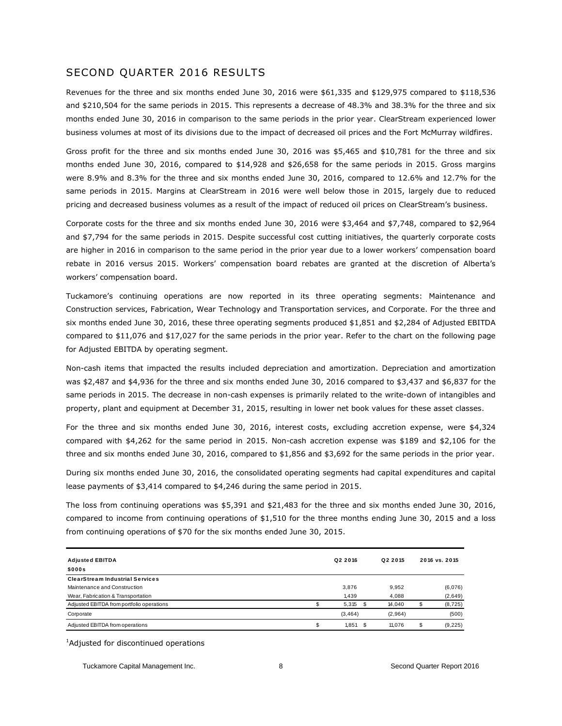## SECOND QUARTER 2016 RESULTS

Revenues for the three and six months ended June 30, 2016 were \$61,335 and \$129,975 compared to \$118,536 and \$210,504 for the same periods in 2015. This represents a decrease of 48.3% and 38.3% for the three and six months ended June 30, 2016 in comparison to the same periods in the prior year. ClearStream experienced lower business volumes at most of its divisions due to the impact of decreased oil prices and the Fort McMurray wildfires.

Gross profit for the three and six months ended June 30, 2016 was \$5,465 and \$10,781 for the three and six months ended June 30, 2016, compared to \$14,928 and \$26,658 for the same periods in 2015. Gross margins were 8.9% and 8.3% for the three and six months ended June 30, 2016, compared to 12.6% and 12.7% for the same periods in 2015. Margins at ClearStream in 2016 were well below those in 2015, largely due to reduced pricing and decreased business volumes as a result of the impact of reduced oil prices on ClearStream's business.

Corporate costs for the three and six months ended June 30, 2016 were \$3,464 and \$7,748, compared to \$2,964 and \$7,794 for the same periods in 2015. Despite successful cost cutting initiatives, the quarterly corporate costs are higher in 2016 in comparison to the same period in the prior year due to a lower workers' compensation board rebate in 2016 versus 2015. Workers' compensation board rebates are granted at the discretion of Alberta's workers' compensation board.

Tuckamore's continuing operations are now reported in its three operating segments: Maintenance and Construction services, Fabrication, Wear Technology and Transportation services, and Corporate. For the three and six months ended June 30, 2016, these three operating segments produced \$1,851 and \$2,284 of Adjusted EBITDA compared to \$11,076 and \$17,027 for the same periods in the prior year. Refer to the chart on the following page for Adjusted EBITDA by operating segment.

Non-cash items that impacted the results included depreciation and amortization. Depreciation and amortization was \$2,487 and \$4,936 for the three and six months ended June 30, 2016 compared to \$3,437 and \$6,837 for the same periods in 2015. The decrease in non-cash expenses is primarily related to the write-down of intangibles and property, plant and equipment at December 31, 2015, resulting in lower net book values for these asset classes.

For the three and six months ended June 30, 2016, interest costs, excluding accretion expense, were \$4,324 compared with \$4,262 for the same period in 2015. Non-cash accretion expense was \$189 and \$2,106 for the three and six months ended June 30, 2016, compared to \$1,856 and \$3,692 for the same periods in the prior year.

During six months ended June 30, 2016, the consolidated operating segments had capital expenditures and capital lease payments of \$3,414 compared to \$4,246 during the same period in 2015.

The loss from continuing operations was \$5,391 and \$21,483 for the three and six months ended June 30, 2016, compared to income from continuing operations of \$1,510 for the three months ending June 30, 2015 and a loss from continuing operations of \$70 for the six months ended June 30, 2015.

| <b>Adjusted EBITDA</b>                    | Q2 2016    | Q <sub>2</sub> 2015 |   | 2016 vs. 2015 |
|-------------------------------------------|------------|---------------------|---|---------------|
| \$000s                                    |            |                     |   |               |
| <b>ClearStream Industrial Services</b>    |            |                     |   |               |
| Maintenance and Construction              | 3,876      | 9.952               |   | (6,076)       |
| Wear, Fabrication & Transportation        | 1,439      | 4.088               |   | (2,649)       |
| Adjusted EBITDA from portfolio operations | $5,315$ \$ | 14.040              |   | (8, 725)      |
| Corporate                                 | (3, 464)   | (2,964)             |   | (500)         |
| Adjusted EBITDA from operations           | $1.851$ \$ | 11.076              | S | (9,225)       |

<sup>1</sup>Adjusted for discontinued operations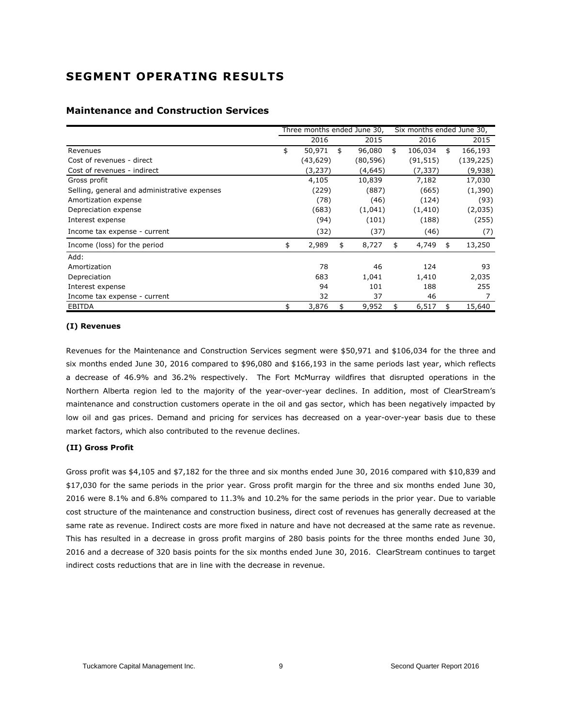## **SEGMENT OPERATING RESULTS**

|                                              | Three months ended June 30, |    |          | Six months ended June 30, |           |    |            |
|----------------------------------------------|-----------------------------|----|----------|---------------------------|-----------|----|------------|
|                                              | 2016                        |    | 2015     |                           | 2016      |    | 2015       |
| Revenues                                     | \$<br>50,971                | \$ | 96,080   | \$                        | 106,034   | \$ | 166,193    |
| Cost of revenues - direct                    | (43,629)                    |    | (80,596) |                           | (91, 515) |    | (139, 225) |
| Cost of revenues - indirect                  | (3, 237)                    |    | (4,645)  |                           | (7,337)   |    | (9,938)    |
| Gross profit                                 | 4,105                       |    | 10,839   |                           | 7,182     |    | 17,030     |
| Selling, general and administrative expenses | (229)                       |    | (887)    |                           | (665)     |    | (1,390)    |
| Amortization expense                         | (78)                        |    | (46)     |                           | (124)     |    | (93)       |
| Depreciation expense                         | (683)                       |    | (1,041)  |                           | (1, 410)  |    | (2,035)    |
| Interest expense                             | (94)                        |    | (101)    |                           | (188)     |    | (255)      |
| Income tax expense - current                 | (32)                        |    | (37)     |                           | (46)      |    | (7)        |
| Income (loss) for the period                 | \$<br>2,989                 | \$ | 8,727    | \$                        | 4,749     | \$ | 13,250     |
| Add:                                         |                             |    |          |                           |           |    |            |
| Amortization                                 | 78                          |    | 46       |                           | 124       |    | 93         |
| Depreciation                                 | 683                         |    | 1,041    |                           | 1,410     |    | 2,035      |
| Interest expense                             | 94                          |    | 101      |                           | 188       |    | 255        |
| Income tax expense - current                 | 32                          |    | 37       |                           | 46        |    |            |
| <b>EBITDA</b>                                | \$<br>3,876                 | \$ | 9,952    | \$                        | 6,517     | \$ | 15,640     |

## **Maintenance and Construction Services**

#### **(I) Revenues**

Revenues for the Maintenance and Construction Services segment were \$50,971 and \$106,034 for the three and six months ended June 30, 2016 compared to \$96,080 and \$166,193 in the same periods last year, which reflects a decrease of 46.9% and 36.2% respectively. The Fort McMurray wildfires that disrupted operations in the Northern Alberta region led to the majority of the year-over-year declines. In addition, most of ClearStream's maintenance and construction customers operate in the oil and gas sector, which has been negatively impacted by low oil and gas prices. Demand and pricing for services has decreased on a year-over-year basis due to these market factors, which also contributed to the revenue declines.

#### **(II) Gross Profit**

Gross profit was \$4,105 and \$7,182 for the three and six months ended June 30, 2016 compared with \$10,839 and \$17,030 for the same periods in the prior year. Gross profit margin for the three and six months ended June 30, 2016 were 8.1% and 6.8% compared to 11.3% and 10.2% for the same periods in the prior year. Due to variable cost structure of the maintenance and construction business, direct cost of revenues has generally decreased at the same rate as revenue. Indirect costs are more fixed in nature and have not decreased at the same rate as revenue. This has resulted in a decrease in gross profit margins of 280 basis points for the three months ended June 30, 2016 and a decrease of 320 basis points for the six months ended June 30, 2016. ClearStream continues to target indirect costs reductions that are in line with the decrease in revenue.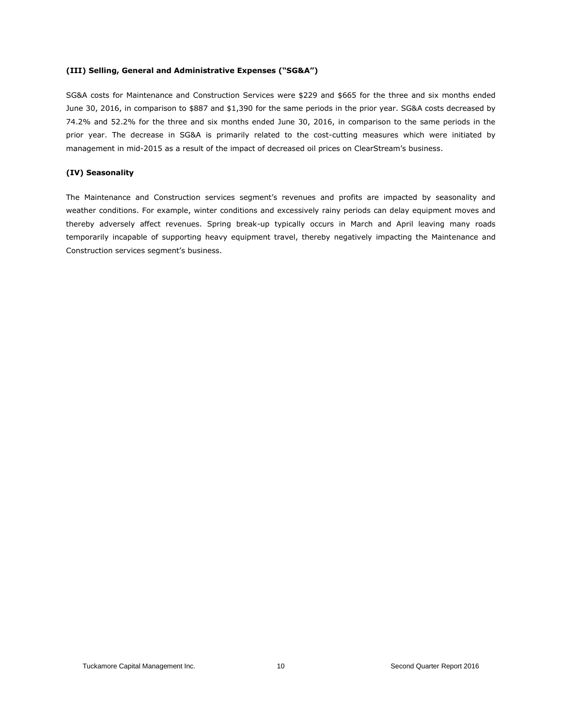#### **(III) Selling, General and Administrative Expenses ("SG&A")**

SG&A costs for Maintenance and Construction Services were \$229 and \$665 for the three and six months ended June 30, 2016, in comparison to \$887 and \$1,390 for the same periods in the prior year. SG&A costs decreased by 74.2% and 52.2% for the three and six months ended June 30, 2016, in comparison to the same periods in the prior year. The decrease in SG&A is primarily related to the cost-cutting measures which were initiated by management in mid-2015 as a result of the impact of decreased oil prices on ClearStream's business.

#### **(IV) Seasonality**

The Maintenance and Construction services segment's revenues and profits are impacted by seasonality and weather conditions. For example, winter conditions and excessively rainy periods can delay equipment moves and thereby adversely affect revenues. Spring break-up typically occurs in March and April leaving many roads temporarily incapable of supporting heavy equipment travel, thereby negatively impacting the Maintenance and Construction services segment's business.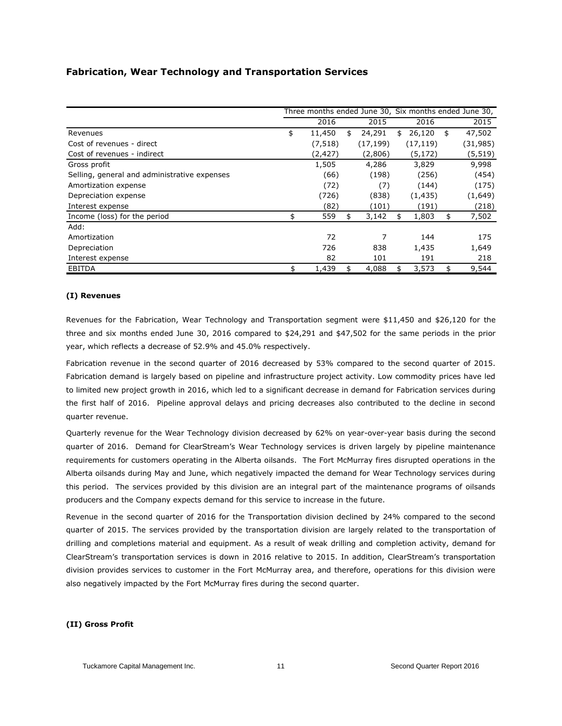## **Fabrication, Wear Technology and Transportation Services**

|                                              |              |              |              | Three months ended June 30, Six months ended June 30, |
|----------------------------------------------|--------------|--------------|--------------|-------------------------------------------------------|
|                                              | 2016         | 2015         | 2016         | 2015                                                  |
| Revenues                                     | \$<br>11,450 | \$<br>24,291 | \$<br>26,120 | \$<br>47,502                                          |
| Cost of revenues - direct                    | (7, 518)     | (17, 199)    | (17, 119)    | (31, 985)                                             |
| Cost of revenues - indirect                  | (2, 427)     | (2,806)      | (5, 172)     | (5, 519)                                              |
| Gross profit                                 | 1,505        | 4,286        | 3,829        | 9,998                                                 |
| Selling, general and administrative expenses | (66)         | (198)        | (256)        | (454)                                                 |
| Amortization expense                         | (72)         | (7)          | (144)        | (175)                                                 |
| Depreciation expense                         | (726)        | (838)        | (1, 435)     | (1,649)                                               |
| Interest expense                             | (82)         | (101)        | (191)        | (218)                                                 |
| Income (loss) for the period                 | \$<br>559    | \$<br>3,142  | \$<br>1,803  | \$<br>7,502                                           |
| Add:                                         |              |              |              |                                                       |
| Amortization                                 | 72           | 7            | 144          | 175                                                   |
| Depreciation                                 | 726          | 838          | 1,435        | 1,649                                                 |
| Interest expense                             | 82           | 101          | 191          | 218                                                   |
| <b>EBITDA</b>                                | \$<br>1,439  | \$<br>4,088  | \$<br>3,573  | \$<br>9,544                                           |

#### **(I) Revenues**

Revenues for the Fabrication, Wear Technology and Transportation segment were \$11,450 and \$26,120 for the three and six months ended June 30, 2016 compared to \$24,291 and \$47,502 for the same periods in the prior year, which reflects a decrease of 52.9% and 45.0% respectively.

Fabrication revenue in the second quarter of 2016 decreased by 53% compared to the second quarter of 2015. Fabrication demand is largely based on pipeline and infrastructure project activity. Low commodity prices have led to limited new project growth in 2016, which led to a significant decrease in demand for Fabrication services during the first half of 2016. Pipeline approval delays and pricing decreases also contributed to the decline in second quarter revenue.

Quarterly revenue for the Wear Technology division decreased by 62% on year-over-year basis during the second quarter of 2016. Demand for ClearStream's Wear Technology services is driven largely by pipeline maintenance requirements for customers operating in the Alberta oilsands. The Fort McMurray fires disrupted operations in the Alberta oilsands during May and June, which negatively impacted the demand for Wear Technology services during this period. The services provided by this division are an integral part of the maintenance programs of oilsands producers and the Company expects demand for this service to increase in the future.

Revenue in the second quarter of 2016 for the Transportation division declined by 24% compared to the second quarter of 2015. The services provided by the transportation division are largely related to the transportation of drilling and completions material and equipment. As a result of weak drilling and completion activity, demand for ClearStream's transportation services is down in 2016 relative to 2015. In addition, ClearStream's transportation division provides services to customer in the Fort McMurray area, and therefore, operations for this division were also negatively impacted by the Fort McMurray fires during the second quarter.

#### **(II) Gross Profit**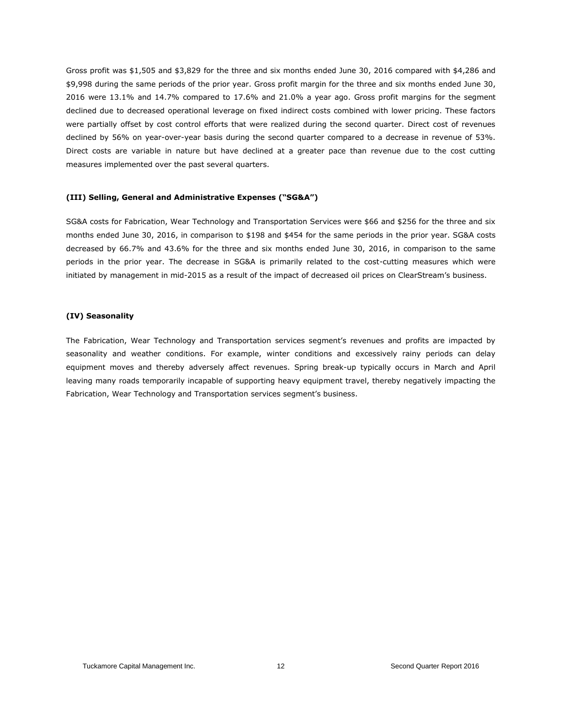Gross profit was \$1,505 and \$3,829 for the three and six months ended June 30, 2016 compared with \$4,286 and \$9,998 during the same periods of the prior year. Gross profit margin for the three and six months ended June 30, 2016 were 13.1% and 14.7% compared to 17.6% and 21.0% a year ago. Gross profit margins for the segment declined due to decreased operational leverage on fixed indirect costs combined with lower pricing. These factors were partially offset by cost control efforts that were realized during the second quarter. Direct cost of revenues declined by 56% on year-over-year basis during the second quarter compared to a decrease in revenue of 53%. Direct costs are variable in nature but have declined at a greater pace than revenue due to the cost cutting measures implemented over the past several quarters.

#### **(III) Selling, General and Administrative Expenses ("SG&A")**

SG&A costs for Fabrication, Wear Technology and Transportation Services were \$66 and \$256 for the three and six months ended June 30, 2016, in comparison to \$198 and \$454 for the same periods in the prior year. SG&A costs decreased by 66.7% and 43.6% for the three and six months ended June 30, 2016, in comparison to the same periods in the prior year. The decrease in SG&A is primarily related to the cost-cutting measures which were initiated by management in mid-2015 as a result of the impact of decreased oil prices on ClearStream's business.

#### **(IV) Seasonality**

The Fabrication, Wear Technology and Transportation services segment's revenues and profits are impacted by seasonality and weather conditions. For example, winter conditions and excessively rainy periods can delay equipment moves and thereby adversely affect revenues. Spring break-up typically occurs in March and April leaving many roads temporarily incapable of supporting heavy equipment travel, thereby negatively impacting the Fabrication, Wear Technology and Transportation services segment's business.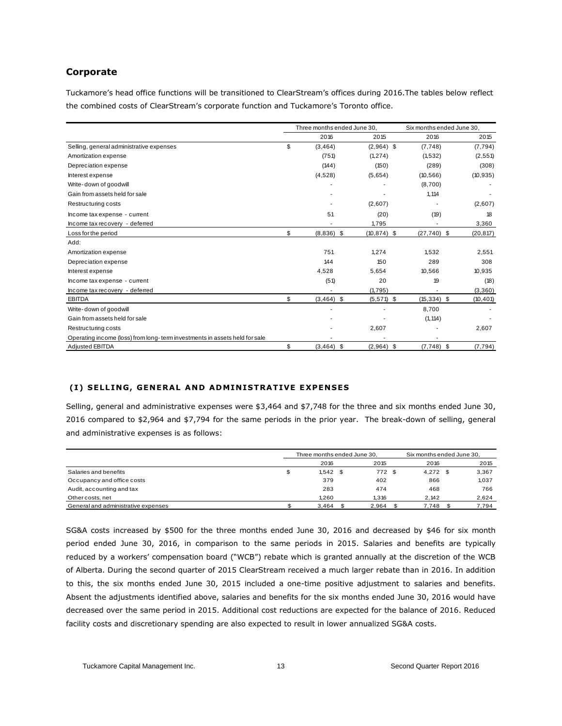## **Corporate**

Tuckamore's head office functions will be transitioned to ClearStream's offices during 2016.The tables below reflect the combined costs of ClearStream's corporate function and Tuckamore's Toronto office.

|                                                                            | Three months ended June 30. |                | Six months ended June 30. |                |           |
|----------------------------------------------------------------------------|-----------------------------|----------------|---------------------------|----------------|-----------|
|                                                                            | 2016                        | 2015           |                           | 2016           | 2015      |
| Selling, general administrative expenses                                   | \$<br>(3, 464)              | $(2,964)$ \$   |                           | (7,748)        | (7, 794)  |
| Amortization expense                                                       | (751)                       | (1, 274)       |                           | (1,532)        | (2, 551)  |
| Depreciation expense                                                       | (144)                       | (150)          |                           | (289)          | (308)     |
| Interest expense                                                           | (4,528)                     | (5,654)        |                           | (10, 566)      | (10, 935) |
| Write-down of goodwill                                                     |                             |                |                           | (8,700)        |           |
| Gain from assets held for sale                                             |                             |                |                           | 1,114          |           |
| Restructuring costs                                                        |                             | (2,607)        |                           |                | (2,607)   |
| Income tax expense - current                                               | 51                          | (20)           |                           | (19)           | 18        |
| Income tax recovery - deferred                                             |                             | 1.795          |                           |                | 3,360     |
| Loss for the period                                                        | \$<br>$(8,836)$ \$          | $(10, 874)$ \$ |                           | $(27, 740)$ \$ | (20, 817) |
| Add:                                                                       |                             |                |                           |                |           |
| Amortization expense                                                       | 751                         | 1,274          |                           | 1,532          | 2,551     |
| Depreciation expense                                                       | 144                         | 150            |                           | 289            | 308       |
| Interest expense                                                           | 4,528                       | 5,654          |                           | 10,566         | 10,935    |
| Income tax expense - current                                               | (51)                        | 20             |                           | 19             | (18)      |
| Income tax recovery - deferred                                             |                             | (1,795)        |                           |                | (3,360)   |
| <b>EBITDA</b>                                                              | \$<br>$(3,464)$ \$          | $(5,571)$ \$   |                           | $(15, 334)$ \$ | (10, 401) |
| Write-down of goodwill                                                     |                             |                |                           | 8,700          |           |
| Gain from assets held for sale                                             |                             |                |                           | (1, 114)       |           |
| Restructuring costs                                                        |                             | 2,607          |                           |                | 2,607     |
| Operating income (loss) from long-term investments in assets held for sale |                             |                |                           |                |           |
| Adjusted EBITDA                                                            | \$<br>$(3,464)$ \$          | $(2,964)$ \$   |                           | $(7,748)$ \$   | (7, 794)  |

#### **( I ) SELL ING , GENERA L AND ADM IN I STRAT IVE EXPEN SE S**

Selling, general and administrative expenses were \$3,464 and \$7,748 for the three and six months ended June 30, 2016 compared to \$2,964 and \$7,794 for the same periods in the prior year. The break-down of selling, general and administrative expenses is as follows:

|                                     | Three months ended June 30. |  |       |  | Six months ended June 30. |  |       |
|-------------------------------------|-----------------------------|--|-------|--|---------------------------|--|-------|
|                                     | 2016                        |  | 2015  |  | 2016                      |  | 2015  |
| Salaries and benefits               | \$<br>$1,542$ \$            |  | 772   |  | $4,272$ \$                |  | 3,367 |
| Occupancy and office costs          | 379                         |  | 402   |  | 866                       |  | 1.037 |
| Audit, accounting and tax           | 283                         |  | 474   |  | 468                       |  | 766   |
| Other costs, net                    | 1.260                       |  | 1.316 |  | 2.142                     |  | 2,624 |
| General and administrative expenses | 3.464                       |  | 2.964 |  | 7.748                     |  | 7.794 |

SG&A costs increased by \$500 for the three months ended June 30, 2016 and decreased by \$46 for six month period ended June 30, 2016, in comparison to the same periods in 2015. Salaries and benefits are typically reduced by a workers' compensation board ("WCB") rebate which is granted annually at the discretion of the WCB of Alberta. During the second quarter of 2015 ClearStream received a much larger rebate than in 2016. In addition to this, the six months ended June 30, 2015 included a one-time positive adjustment to salaries and benefits. Absent the adjustments identified above, salaries and benefits for the six months ended June 30, 2016 would have decreased over the same period in 2015. Additional cost reductions are expected for the balance of 2016. Reduced facility costs and discretionary spending are also expected to result in lower annualized SG&A costs.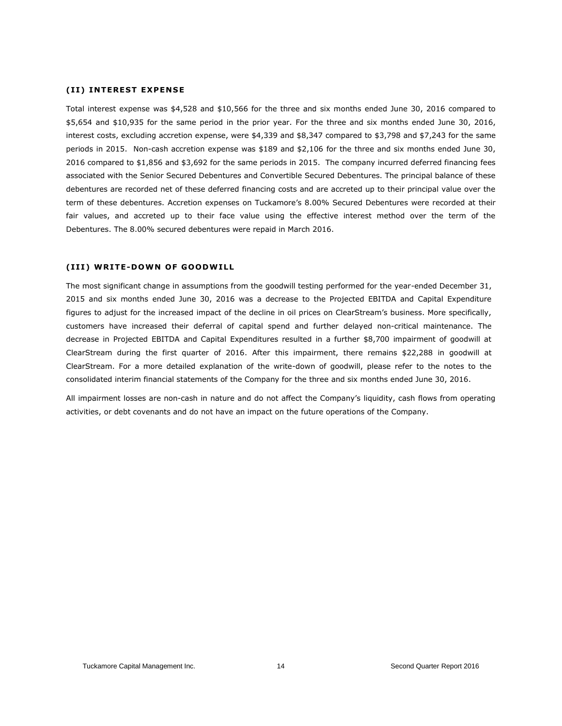#### **(II) INTEREST EXPENSE**

Total interest expense was \$4,528 and \$10,566 for the three and six months ended June 30, 2016 compared to \$5,654 and \$10,935 for the same period in the prior year. For the three and six months ended June 30, 2016, interest costs, excluding accretion expense, were \$4,339 and \$8,347 compared to \$3,798 and \$7,243 for the same periods in 2015. Non-cash accretion expense was \$189 and \$2,106 for the three and six months ended June 30, 2016 compared to \$1,856 and \$3,692 for the same periods in 2015. The company incurred deferred financing fees associated with the Senior Secured Debentures and Convertible Secured Debentures. The principal balance of these debentures are recorded net of these deferred financing costs and are accreted up to their principal value over the term of these debentures. Accretion expenses on Tuckamore's 8.00% Secured Debentures were recorded at their fair values, and accreted up to their face value using the effective interest method over the term of the Debentures. The 8.00% secured debentures were repaid in March 2016.

#### **( I I I ) WR ITE-DOWN OF GOODW ILL**

The most significant change in assumptions from the goodwill testing performed for the year-ended December 31, 2015 and six months ended June 30, 2016 was a decrease to the Projected EBITDA and Capital Expenditure figures to adjust for the increased impact of the decline in oil prices on ClearStream's business. More specifically, customers have increased their deferral of capital spend and further delayed non-critical maintenance. The decrease in Projected EBITDA and Capital Expenditures resulted in a further \$8,700 impairment of goodwill at ClearStream during the first quarter of 2016. After this impairment, there remains \$22,288 in goodwill at ClearStream. For a more detailed explanation of the write-down of goodwill, please refer to the notes to the consolidated interim financial statements of the Company for the three and six months ended June 30, 2016.

All impairment losses are non-cash in nature and do not affect the Company's liquidity, cash flows from operating activities, or debt covenants and do not have an impact on the future operations of the Company.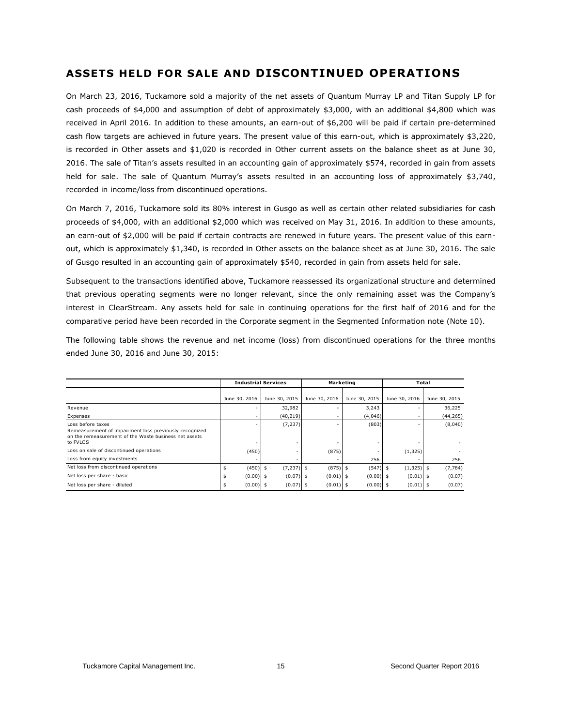## **ASSETS HELD FOR SALE AND DISCONTINUED OPERATIONS**

On March 23, 2016, Tuckamore sold a majority of the net assets of Quantum Murray LP and Titan Supply LP for cash proceeds of \$4,000 and assumption of debt of approximately \$3,000, with an additional \$4,800 which was received in April 2016. In addition to these amounts, an earn-out of \$6,200 will be paid if certain pre-determined cash flow targets are achieved in future years. The present value of this earn-out, which is approximately \$3,220, is recorded in Other assets and \$1,020 is recorded in Other current assets on the balance sheet as at June 30, 2016. The sale of Titan's assets resulted in an accounting gain of approximately \$574, recorded in gain from assets held for sale. The sale of Quantum Murray's assets resulted in an accounting loss of approximately \$3,740, recorded in income/loss from discontinued operations.

On March 7, 2016, Tuckamore sold its 80% interest in Gusgo as well as certain other related subsidiaries for cash proceeds of \$4,000, with an additional \$2,000 which was received on May 31, 2016. In addition to these amounts, an earn-out of \$2,000 will be paid if certain contracts are renewed in future years. The present value of this earnout, which is approximately \$1,340, is recorded in Other assets on the balance sheet as at June 30, 2016. The sale of Gusgo resulted in an accounting gain of approximately \$540, recorded in gain from assets held for sale.

Subsequent to the transactions identified above, Tuckamore reassessed its organizational structure and determined that previous operating segments were no longer relevant, since the only remaining asset was the Company's interest in ClearStream. Any assets held for sale in continuing operations for the first half of 2016 and for the comparative period have been recorded in the Corporate segment in the Segmented Information note (Note 10).

The following table shows the revenue and net income (loss) from discontinued operations for the three months ended June 30, 2016 and June 30, 2015:

|                                                                                                                                                  | <b>Industrial Services</b> |               |                   | <b>Marketing</b> | Total         |               |  |
|--------------------------------------------------------------------------------------------------------------------------------------------------|----------------------------|---------------|-------------------|------------------|---------------|---------------|--|
|                                                                                                                                                  | June 30, 2016              | June 30, 2015 | June 30, 2016     | June 30, 2015    | June 30, 2016 | June 30, 2015 |  |
| Revenue                                                                                                                                          |                            | 32,982        |                   | 3,243            |               | 36,225        |  |
| Expenses                                                                                                                                         |                            | (40, 219)     |                   | (4,046)          |               | (44, 265)     |  |
| Loss before taxes<br>Remeasurement of impairment loss previously recognized<br>on the remeasurement of the Waste business net assets<br>to FVLCS |                            | (7, 237)      |                   | (803)            |               | (8,040)       |  |
| Loss on sale of discontinued operations                                                                                                          | (450)                      |               | (875)             |                  | (1, 325)      |               |  |
| Loss from equity investments                                                                                                                     |                            |               |                   | 256              |               | 256           |  |
| Net loss from discontinued operations                                                                                                            | $(450)$ \$<br>\$           | (7, 237)      | $(875)$ \$<br>\$  | $(547)$ \$       | $(1,325)$ \$  | (7, 784)      |  |
| Net loss per share - basic                                                                                                                       | $(0.00)$ \$                | (0.07)        | $(0.01)$ \$<br>\$ | $(0.00)$ \$      | $(0.01)$ \$   | (0.07)        |  |
| Net loss per share - diluted                                                                                                                     | $(0.00)$ \$                | (0.07)        | $(0.01)$ \$       | $(0.00)$ \$      | $(0.01)$ \$   | (0.07)        |  |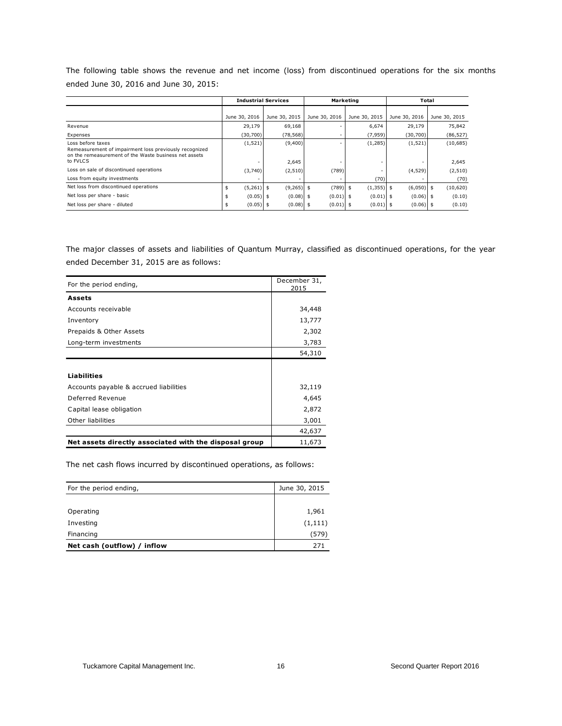The following table shows the revenue and net income (loss) from discontinued operations for the six months ended June 30, 2016 and June 30, 2015:

|                                                                                                                                                  |                    | <b>Industrial Services</b> |               | Marketing     | Total         |                   |  |
|--------------------------------------------------------------------------------------------------------------------------------------------------|--------------------|----------------------------|---------------|---------------|---------------|-------------------|--|
|                                                                                                                                                  | June 30, 2016      | June 30, 2015              | June 30, 2016 | June 30, 2015 | June 30, 2016 | June 30, 2015     |  |
| Revenue                                                                                                                                          | 29,179             | 69,168                     |               | 6,674         | 29,179        | 75,842            |  |
| Expenses                                                                                                                                         | (30,700)           | (78, 568)                  |               | (7, 959)      | (30,700)      | (86, 527)         |  |
| Loss before taxes<br>Remeasurement of impairment loss previously recognized<br>on the remeasurement of the Waste business net assets<br>to FVLCS | (1, 521)           | (9,400)<br>2,645           |               | (1, 285)      | (1, 521)      | (10,685)<br>2,645 |  |
| Loss on sale of discontinued operations                                                                                                          | (3,740)            | (2, 510)                   | (789)         |               | (4,529)       | (2, 510)          |  |
| Loss from equity investments                                                                                                                     |                    |                            |               | (70)          |               | (70)              |  |
| Net loss from discontinued operations                                                                                                            | $(5,261)$ \$<br>\$ | $(9,265)$ \$               | $(789)$ \$    | $(1,355)$ \$  | $(6,050)$ \$  | (10,620)          |  |
| Net loss per share - basic                                                                                                                       | $(0.05)$ \$        | $(0.08)$ \$                | $(0.01)$ \$   | $(0.01)$ \$   | $(0.06)$ \$   | (0.10)            |  |
| Net loss per share - diluted                                                                                                                     | $(0.05)$ \$        | $(0.08)$ \$                | $(0.01)$ \$   | $(0.01)$ \$   | $(0.06)$ \$   | (0.10)            |  |

The major classes of assets and liabilities of Quantum Murray, classified as discontinued operations, for the year ended December 31, 2015 are as follows:

| For the period ending,                                 | December 31,<br>2015 |
|--------------------------------------------------------|----------------------|
| Assets                                                 |                      |
|                                                        |                      |
| Accounts receivable                                    | 34,448               |
| Inventory                                              | 13,777               |
| Prepaids & Other Assets                                | 2,302                |
| Long-term investments                                  | 3,783                |
|                                                        | 54,310               |
|                                                        |                      |
| <b>Liabilities</b>                                     |                      |
| Accounts payable & accrued liabilities                 | 32,119               |
| Deferred Revenue                                       | 4,645                |
| Capital lease obligation                               | 2,872                |
| Other liabilities                                      | 3,001                |
|                                                        | 42,637               |
| Net assets directly associated with the disposal group | 11,673               |

The net cash flows incurred by discontinued operations, as follows:

| For the period ending,      | June 30, 2015 |
|-----------------------------|---------------|
|                             |               |
| Operating                   | 1,961         |
| Investing                   | (1, 111)      |
| Financing                   | (579)         |
| Net cash (outflow) / inflow | 271           |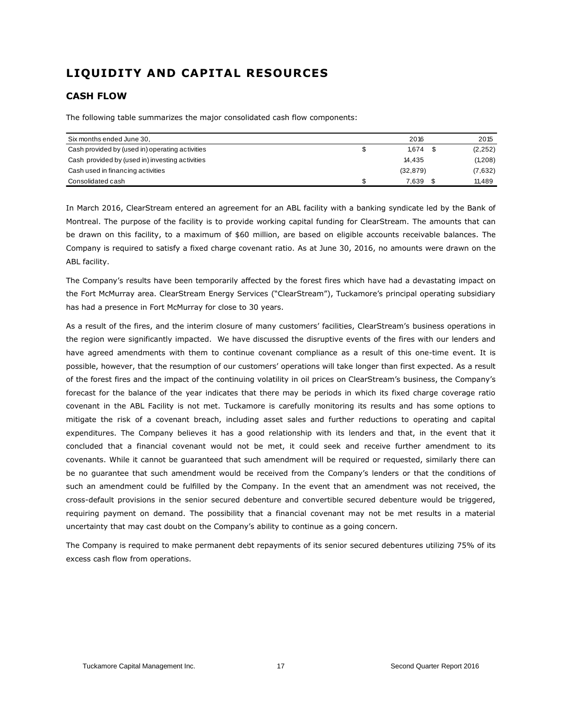## **LIQUIDITY AND CAPITAL RESOURCES**

## **CASH FLOW**

The following table summarizes the major consolidated cash flow components:

| Six months ended June 30,                       | 2016      | 2015     |
|-------------------------------------------------|-----------|----------|
| Cash provided by (used in) operating activities | 1.674     | (2, 252) |
| Cash provided by (used in) investing activities | 14.435    | (1,208)  |
| Cash used in financing activities               | (32, 879) | (7,632)  |
| Consolidated cash                               | 7.639     | 11.489   |

In March 2016, ClearStream entered an agreement for an ABL facility with a banking syndicate led by the Bank of Montreal. The purpose of the facility is to provide working capital funding for ClearStream. The amounts that can be drawn on this facility, to a maximum of \$60 million, are based on eligible accounts receivable balances. The Company is required to satisfy a fixed charge covenant ratio. As at June 30, 2016, no amounts were drawn on the ABL facility.

The Company's results have been temporarily affected by the forest fires which have had a devastating impact on the Fort McMurray area. ClearStream Energy Services ("ClearStream"), Tuckamore's principal operating subsidiary has had a presence in Fort McMurray for close to 30 years.

As a result of the fires, and the interim closure of many customers' facilities, ClearStream's business operations in the region were significantly impacted. We have discussed the disruptive events of the fires with our lenders and have agreed amendments with them to continue covenant compliance as a result of this one-time event. It is possible, however, that the resumption of our customers' operations will take longer than first expected. As a result of the forest fires and the impact of the continuing volatility in oil prices on ClearStream's business, the Company's forecast for the balance of the year indicates that there may be periods in which its fixed charge coverage ratio covenant in the ABL Facility is not met. Tuckamore is carefully monitoring its results and has some options to mitigate the risk of a covenant breach, including asset sales and further reductions to operating and capital expenditures. The Company believes it has a good relationship with its lenders and that, in the event that it concluded that a financial covenant would not be met, it could seek and receive further amendment to its covenants. While it cannot be guaranteed that such amendment will be required or requested, similarly there can be no guarantee that such amendment would be received from the Company's lenders or that the conditions of such an amendment could be fulfilled by the Company. In the event that an amendment was not received, the cross-default provisions in the senior secured debenture and convertible secured debenture would be triggered, requiring payment on demand. The possibility that a financial covenant may not be met results in a material uncertainty that may cast doubt on the Company's ability to continue as a going concern.

The Company is required to make permanent debt repayments of its senior secured debentures utilizing 75% of its excess cash flow from operations.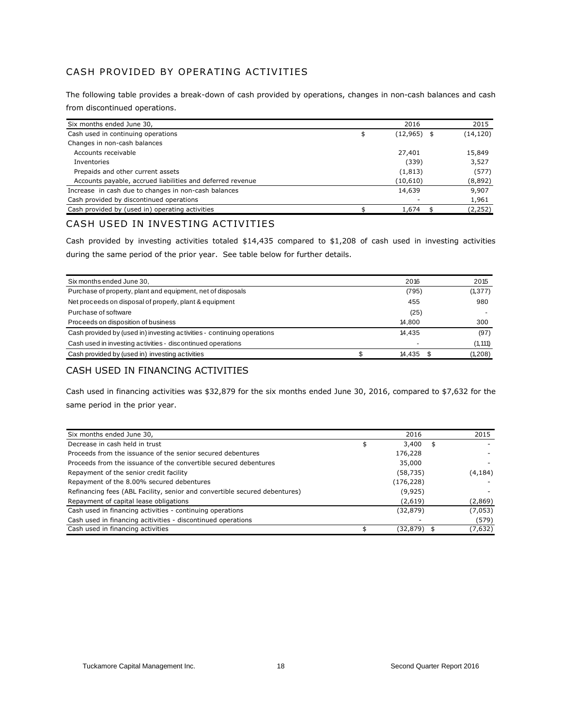## CASH PROVIDED BY OPERATING ACTIVITIES

The following table provides a break-down of cash provided by operations, changes in non-cash balances and cash from discontinued operations.

| Six months ended June 30,                                  | 2016              | 2015      |
|------------------------------------------------------------|-------------------|-----------|
| Cash used in continuing operations                         | \$<br>(12,965) \$ | (14, 120) |
| Changes in non-cash balances                               |                   |           |
| Accounts receivable                                        | 27,401            | 15,849    |
| Inventories                                                | (339)             | 3,527     |
| Prepaids and other current assets                          | (1, 813)          | (577)     |
| Accounts payable, accrued liabilities and deferred revenue | (10, 610)         | (8,892)   |
| Increase in cash due to changes in non-cash balances       | 14,639            | 9,907     |
| Cash provided by discontinued operations                   |                   | 1,961     |
| Cash provided by (used in) operating activities            | 1,674             | (2, 252)  |

## CASH USED IN INVESTING ACTIVITIES

Cash provided by investing activities totaled \$14,435 compared to \$1,208 of cash used in investing activities during the same period of the prior year. See table below for further details.

| Six months ended June 30,                                               | 2016   | 2015     |
|-------------------------------------------------------------------------|--------|----------|
| Purchase of property, plant and equipment, net of disposals             | (795)  | (1, 377) |
| Net proceeds on disposal of properly, plant & equipment                 | 455    | 980      |
| Purchase of software                                                    | (25)   |          |
| Proceeds on disposition of business                                     | 14.800 | 300      |
| Cash provided by (used in) investing activities - continuing operations | 14.435 | (97)     |
| Cash used in investing activities - discontinued operations             |        | (1, 111) |
| Cash provided by (used in) investing activities                         | 14.435 | (1,208)  |

### CASH USED IN FINANCING ACTIVITIES

Cash used in financing activities was \$32,879 for the six months ended June 30, 2016, compared to \$7,632 for the same period in the prior year.

| Six months ended June 30,                                                  | 2016        |   | 2015     |
|----------------------------------------------------------------------------|-------------|---|----------|
| Decrease in cash held in trust                                             | \$<br>3,400 | S |          |
| Proceeds from the issuance of the senior secured debentures                | 176,228     |   |          |
| Proceeds from the issuance of the convertible secured debentures           | 35,000      |   |          |
| Repayment of the senior credit facility                                    | (58, 735)   |   | (4, 184) |
| Repayment of the 8.00% secured debentures                                  | (176, 228)  |   |          |
| Refinancing fees (ABL Facility, senior and convertible secured debentures) | (9,925)     |   |          |
| Repayment of capital lease obligations                                     | (2,619)     |   | (2,869)  |
| Cash used in financing activities - continuing operations                  | (32,879)    |   | (7,053)  |
| Cash used in financing acitivities - discontinued operations               |             |   | (579)    |
| Cash used in financing activities                                          | (32,879) \$ |   | (7,632)  |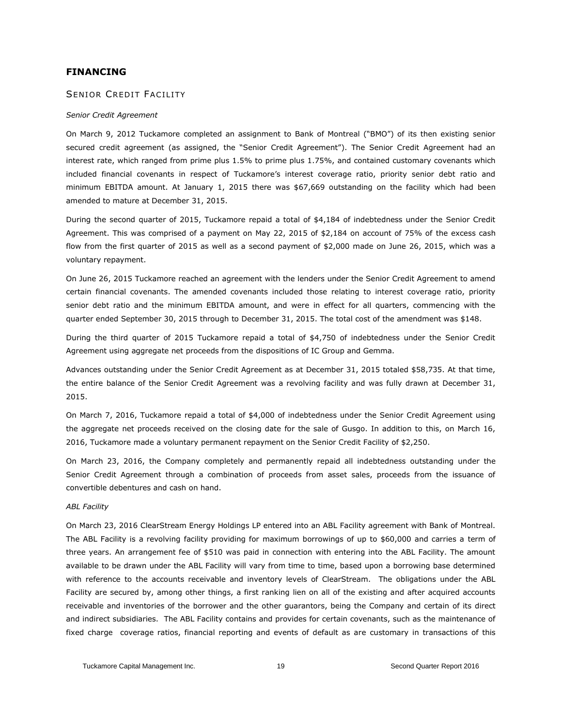#### **FINANCING**

#### SENIOR CREDIT FACILITY

#### *Senior Credit Agreement*

On March 9, 2012 Tuckamore completed an assignment to Bank of Montreal ("BMO") of its then existing senior secured credit agreement (as assigned, the "Senior Credit Agreement"). The Senior Credit Agreement had an interest rate, which ranged from prime plus 1.5% to prime plus 1.75%, and contained customary covenants which included financial covenants in respect of Tuckamore's interest coverage ratio, priority senior debt ratio and minimum EBITDA amount. At January 1, 2015 there was \$67,669 outstanding on the facility which had been amended to mature at December 31, 2015.

During the second quarter of 2015, Tuckamore repaid a total of \$4,184 of indebtedness under the Senior Credit Agreement. This was comprised of a payment on May 22, 2015 of \$2,184 on account of 75% of the excess cash flow from the first quarter of 2015 as well as a second payment of \$2,000 made on June 26, 2015, which was a voluntary repayment.

On June 26, 2015 Tuckamore reached an agreement with the lenders under the Senior Credit Agreement to amend certain financial covenants. The amended covenants included those relating to interest coverage ratio, priority senior debt ratio and the minimum EBITDA amount, and were in effect for all quarters, commencing with the quarter ended September 30, 2015 through to December 31, 2015. The total cost of the amendment was \$148.

During the third quarter of 2015 Tuckamore repaid a total of \$4,750 of indebtedness under the Senior Credit Agreement using aggregate net proceeds from the dispositions of IC Group and Gemma.

Advances outstanding under the Senior Credit Agreement as at December 31, 2015 totaled \$58,735. At that time, the entire balance of the Senior Credit Agreement was a revolving facility and was fully drawn at December 31, 2015.

On March 7, 2016, Tuckamore repaid a total of \$4,000 of indebtedness under the Senior Credit Agreement using the aggregate net proceeds received on the closing date for the sale of Gusgo. In addition to this, on March 16, 2016, Tuckamore made a voluntary permanent repayment on the Senior Credit Facility of \$2,250.

On March 23, 2016, the Company completely and permanently repaid all indebtedness outstanding under the Senior Credit Agreement through a combination of proceeds from asset sales, proceeds from the issuance of convertible debentures and cash on hand.

#### *ABL Facility*

On March 23, 2016 ClearStream Energy Holdings LP entered into an ABL Facility agreement with Bank of Montreal. The ABL Facility is a revolving facility providing for maximum borrowings of up to \$60,000 and carries a term of three years. An arrangement fee of \$510 was paid in connection with entering into the ABL Facility. The amount available to be drawn under the ABL Facility will vary from time to time, based upon a borrowing base determined with reference to the accounts receivable and inventory levels of ClearStream. The obligations under the ABL Facility are secured by, among other things, a first ranking lien on all of the existing and after acquired accounts receivable and inventories of the borrower and the other guarantors, being the Company and certain of its direct and indirect subsidiaries. The ABL Facility contains and provides for certain covenants, such as the maintenance of fixed charge coverage ratios, financial reporting and events of default as are customary in transactions of this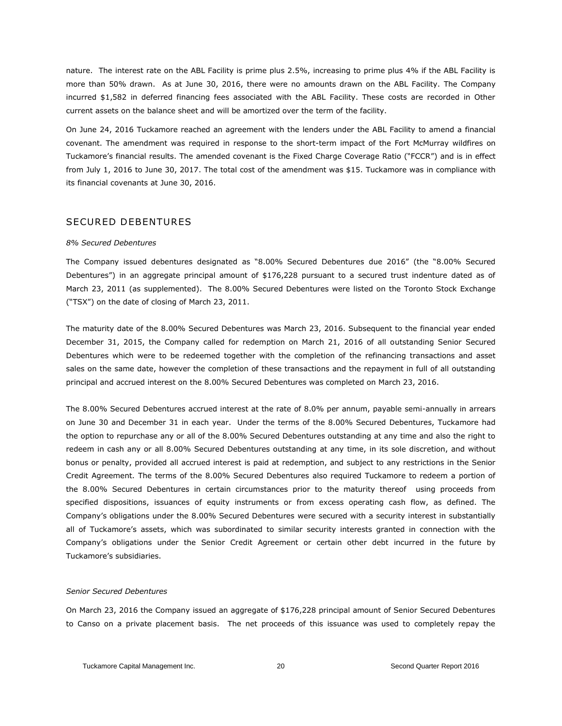nature. The interest rate on the ABL Facility is prime plus 2.5%, increasing to prime plus 4% if the ABL Facility is more than 50% drawn. As at June 30, 2016, there were no amounts drawn on the ABL Facility. The Company incurred \$1,582 in deferred financing fees associated with the ABL Facility. These costs are recorded in Other current assets on the balance sheet and will be amortized over the term of the facility.

On June 24, 2016 Tuckamore reached an agreement with the lenders under the ABL Facility to amend a financial covenant. The amendment was required in response to the short-term impact of the Fort McMurray wildfires on Tuckamore's financial results. The amended covenant is the Fixed Charge Coverage Ratio ("FCCR") and is in effect from July 1, 2016 to June 30, 2017. The total cost of the amendment was \$15. Tuckamore was in compliance with its financial covenants at June 30, 2016.

### SECURED DEBENTURES

#### *8% Secured Debentures*

The Company issued debentures designated as "8.00% Secured Debentures due 2016" (the "8.00% Secured Debentures") in an aggregate principal amount of \$176,228 pursuant to a secured trust indenture dated as of March 23, 2011 (as supplemented). The 8.00% Secured Debentures were listed on the Toronto Stock Exchange ("TSX") on the date of closing of March 23, 2011.

The maturity date of the 8.00% Secured Debentures was March 23, 2016. Subsequent to the financial year ended December 31, 2015, the Company called for redemption on March 21, 2016 of all outstanding Senior Secured Debentures which were to be redeemed together with the completion of the refinancing transactions and asset sales on the same date, however the completion of these transactions and the repayment in full of all outstanding principal and accrued interest on the 8.00% Secured Debentures was completed on March 23, 2016.

The 8.00% Secured Debentures accrued interest at the rate of 8.0% per annum, payable semi-annually in arrears on June 30 and December 31 in each year. Under the terms of the 8.00% Secured Debentures, Tuckamore had the option to repurchase any or all of the 8.00% Secured Debentures outstanding at any time and also the right to redeem in cash any or all 8.00% Secured Debentures outstanding at any time, in its sole discretion, and without bonus or penalty, provided all accrued interest is paid at redemption, and subject to any restrictions in the Senior Credit Agreement. The terms of the 8.00% Secured Debentures also required Tuckamore to redeem a portion of the 8.00% Secured Debentures in certain circumstances prior to the maturity thereof using proceeds from specified dispositions, issuances of equity instruments or from excess operating cash flow, as defined. The Company's obligations under the 8.00% Secured Debentures were secured with a security interest in substantially all of Tuckamore's assets, which was subordinated to similar security interests granted in connection with the Company's obligations under the Senior Credit Agreement or certain other debt incurred in the future by Tuckamore's subsidiaries.

#### *Senior Secured Debentures*

On March 23, 2016 the Company issued an aggregate of \$176,228 principal amount of Senior Secured Debentures to Canso on a private placement basis. The net proceeds of this issuance was used to completely repay the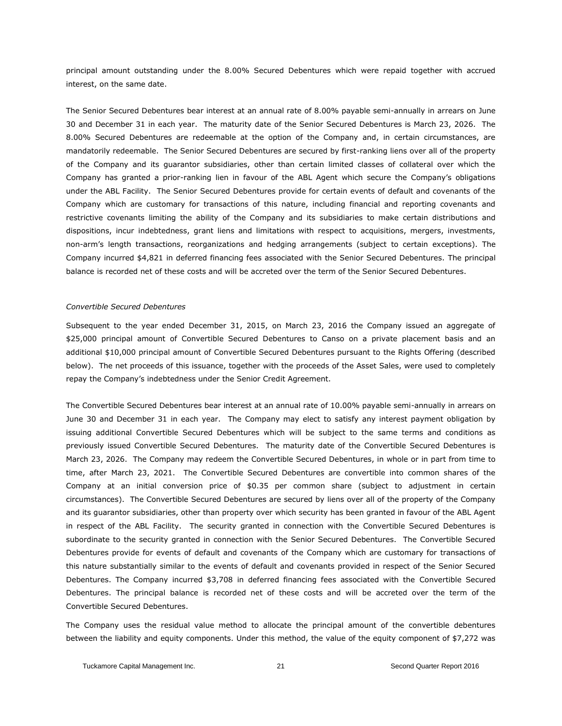principal amount outstanding under the 8.00% Secured Debentures which were repaid together with accrued interest, on the same date.

The Senior Secured Debentures bear interest at an annual rate of 8.00% payable semi-annually in arrears on June 30 and December 31 in each year. The maturity date of the Senior Secured Debentures is March 23, 2026. The 8.00% Secured Debentures are redeemable at the option of the Company and, in certain circumstances, are mandatorily redeemable. The Senior Secured Debentures are secured by first-ranking liens over all of the property of the Company and its guarantor subsidiaries, other than certain limited classes of collateral over which the Company has granted a prior-ranking lien in favour of the ABL Agent which secure the Company's obligations under the ABL Facility. The Senior Secured Debentures provide for certain events of default and covenants of the Company which are customary for transactions of this nature, including financial and reporting covenants and restrictive covenants limiting the ability of the Company and its subsidiaries to make certain distributions and dispositions, incur indebtedness, grant liens and limitations with respect to acquisitions, mergers, investments, non-arm's length transactions, reorganizations and hedging arrangements (subject to certain exceptions). The Company incurred \$4,821 in deferred financing fees associated with the Senior Secured Debentures. The principal balance is recorded net of these costs and will be accreted over the term of the Senior Secured Debentures.

#### *Convertible Secured Debentures*

Subsequent to the year ended December 31, 2015, on March 23, 2016 the Company issued an aggregate of \$25,000 principal amount of Convertible Secured Debentures to Canso on a private placement basis and an additional \$10,000 principal amount of Convertible Secured Debentures pursuant to the Rights Offering (described below). The net proceeds of this issuance, together with the proceeds of the Asset Sales, were used to completely repay the Company's indebtedness under the Senior Credit Agreement.

The Convertible Secured Debentures bear interest at an annual rate of 10.00% payable semi-annually in arrears on June 30 and December 31 in each year. The Company may elect to satisfy any interest payment obligation by issuing additional Convertible Secured Debentures which will be subject to the same terms and conditions as previously issued Convertible Secured Debentures. The maturity date of the Convertible Secured Debentures is March 23, 2026. The Company may redeem the Convertible Secured Debentures, in whole or in part from time to time, after March 23, 2021. The Convertible Secured Debentures are convertible into common shares of the Company at an initial conversion price of \$0.35 per common share (subject to adjustment in certain circumstances). The Convertible Secured Debentures are secured by liens over all of the property of the Company and its guarantor subsidiaries, other than property over which security has been granted in favour of the ABL Agent in respect of the ABL Facility. The security granted in connection with the Convertible Secured Debentures is subordinate to the security granted in connection with the Senior Secured Debentures. The Convertible Secured Debentures provide for events of default and covenants of the Company which are customary for transactions of this nature substantially similar to the events of default and covenants provided in respect of the Senior Secured Debentures. The Company incurred \$3,708 in deferred financing fees associated with the Convertible Secured Debentures. The principal balance is recorded net of these costs and will be accreted over the term of the Convertible Secured Debentures.

The Company uses the residual value method to allocate the principal amount of the convertible debentures between the liability and equity components. Under this method, the value of the equity component of \$7,272 was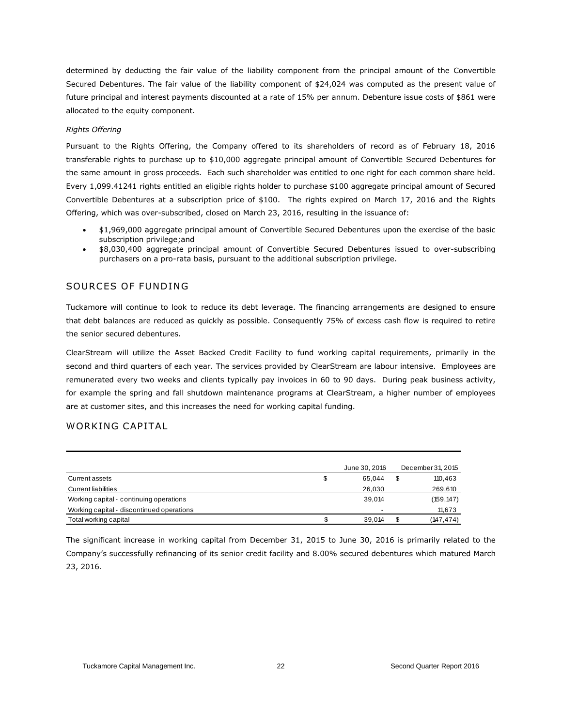determined by deducting the fair value of the liability component from the principal amount of the Convertible Secured Debentures. The fair value of the liability component of \$24,024 was computed as the present value of future principal and interest payments discounted at a rate of 15% per annum. Debenture issue costs of \$861 were allocated to the equity component.

#### *Rights Offering*

Pursuant to the Rights Offering, the Company offered to its shareholders of record as of February 18, 2016 transferable rights to purchase up to \$10,000 aggregate principal amount of Convertible Secured Debentures for the same amount in gross proceeds. Each such shareholder was entitled to one right for each common share held. Every 1,099.41241 rights entitled an eligible rights holder to purchase \$100 aggregate principal amount of Secured Convertible Debentures at a subscription price of \$100. The rights expired on March 17, 2016 and the Rights Offering, which was over-subscribed, closed on March 23, 2016, resulting in the issuance of:

- \$1,969,000 aggregate principal amount of Convertible Secured Debentures upon the exercise of the basic subscription privilege;and
- \$8,030,400 aggregate principal amount of Convertible Secured Debentures issued to over-subscribing purchasers on a pro-rata basis, pursuant to the additional subscription privilege.

### SOURCES OF FUNDING

Tuckamore will continue to look to reduce its debt leverage. The financing arrangements are designed to ensure that debt balances are reduced as quickly as possible. Consequently 75% of excess cash flow is required to retire the senior secured debentures.

ClearStream will utilize the Asset Backed Credit Facility to fund working capital requirements, primarily in the second and third quarters of each year. The services provided by ClearStream are labour intensive. Employees are remunerated every two weeks and clients typically pay invoices in 60 to 90 days. During peak business activity, for example the spring and fall shutdown maintenance programs at ClearStream, a higher number of employees are at customer sites, and this increases the need for working capital funding.

### WORKING CAPITAL

|                                           | June 30, 2016 | December 31, 2015 |
|-------------------------------------------|---------------|-------------------|
| Current assets                            | \$<br>65.044  | 110,463           |
| <b>Current liabilities</b>                | 26,030        | 269,610           |
| Working capital - continuing operations   | 39.014        | (159, 147)        |
| Working capital - discontinued operations | -             | 11,673            |
| Total working capital                     | 39.014        | (147,474)         |

The significant increase in working capital from December 31, 2015 to June 30, 2016 is primarily related to the Company's successfully refinancing of its senior credit facility and 8.00% secured debentures which matured March 23, 2016.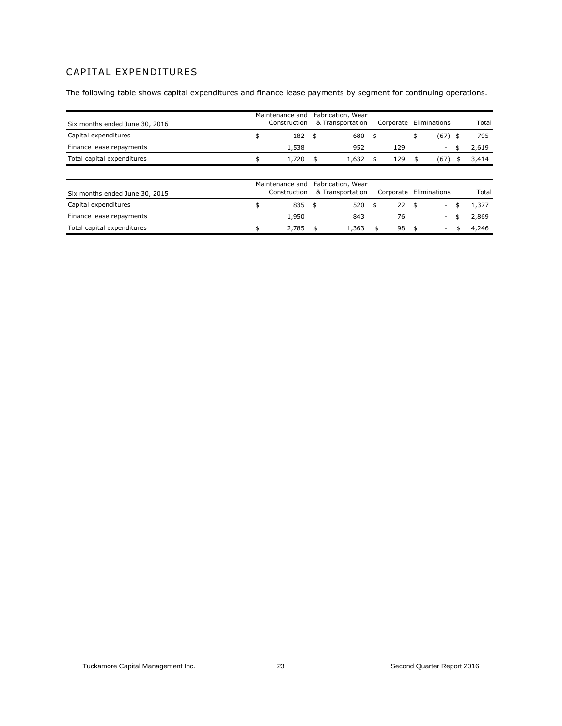## CAPITAL EXPENDITURES

The following table shows capital expenditures and finance lease payments by segment for continuing operations.

| Six months ended June 30, 2016 | Maintenance and<br>Construction | Fabrication, Wear<br>& Transportation | Corporate                      | Eliminations             | Total       |
|--------------------------------|---------------------------------|---------------------------------------|--------------------------------|--------------------------|-------------|
| Capital expenditures           | \$<br>182                       | \$<br>680                             | \$<br>$\overline{\phantom{a}}$ | \$<br>(67)               | \$<br>795   |
| Finance lease repayments       | 1,538                           | 952                                   | 129                            | $\overline{\phantom{a}}$ | \$<br>2,619 |
| Total capital expenditures     | \$<br>1,720                     | \$<br>1,632                           | \$<br>129                      | \$<br>(67)               | \$<br>3,414 |
|                                |                                 |                                       |                                |                          |             |
|                                | Maintenance and                 | Fabrication, Wear                     |                                |                          |             |
| Six months ended June 30, 2015 | Construction                    | & Transportation                      | Corporate                      | Eliminations             | Total       |
| Capital expenditures           | \$<br>835                       | \$<br>$520$ \$                        | $22 \quad$ \$                  | $\overline{\phantom{a}}$ | \$<br>1,377 |
| Finance lease repayments       | 1,950                           | 843                                   | 76                             | $\sim$                   | \$<br>2,869 |
| Total capital expenditures     | \$<br>2,785                     | \$<br>1,363                           | \$<br>98                       | \$<br>-                  | \$<br>4,246 |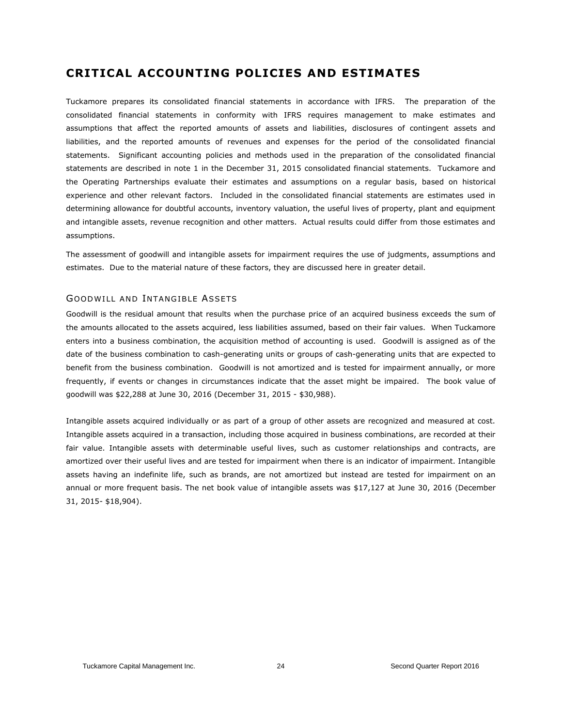## **CRITICAL ACCOUNTING POLICIES AND ESTIMATES**

Tuckamore prepares its consolidated financial statements in accordance with IFRS. The preparation of the consolidated financial statements in conformity with IFRS requires management to make estimates and assumptions that affect the reported amounts of assets and liabilities, disclosures of contingent assets and liabilities, and the reported amounts of revenues and expenses for the period of the consolidated financial statements. Significant accounting policies and methods used in the preparation of the consolidated financial statements are described in note 1 in the December 31, 2015 consolidated financial statements. Tuckamore and the Operating Partnerships evaluate their estimates and assumptions on a regular basis, based on historical experience and other relevant factors. Included in the consolidated financial statements are estimates used in determining allowance for doubtful accounts, inventory valuation, the useful lives of property, plant and equipment and intangible assets, revenue recognition and other matters. Actual results could differ from those estimates and assumptions.

The assessment of goodwill and intangible assets for impairment requires the use of judgments, assumptions and estimates. Due to the material nature of these factors, they are discussed here in greater detail.

### GOODWILL AND INTANGIBLE ASSETS

Goodwill is the residual amount that results when the purchase price of an acquired business exceeds the sum of the amounts allocated to the assets acquired, less liabilities assumed, based on their fair values. When Tuckamore enters into a business combination, the acquisition method of accounting is used. Goodwill is assigned as of the date of the business combination to cash-generating units or groups of cash-generating units that are expected to benefit from the business combination. Goodwill is not amortized and is tested for impairment annually, or more frequently, if events or changes in circumstances indicate that the asset might be impaired. The book value of goodwill was \$22,288 at June 30, 2016 (December 31, 2015 - \$30,988).

Intangible assets acquired individually or as part of a group of other assets are recognized and measured at cost. Intangible assets acquired in a transaction, including those acquired in business combinations, are recorded at their fair value. Intangible assets with determinable useful lives, such as customer relationships and contracts, are amortized over their useful lives and are tested for impairment when there is an indicator of impairment. Intangible assets having an indefinite life, such as brands, are not amortized but instead are tested for impairment on an annual or more frequent basis. The net book value of intangible assets was \$17,127 at June 30, 2016 (December 31, 2015- \$18,904).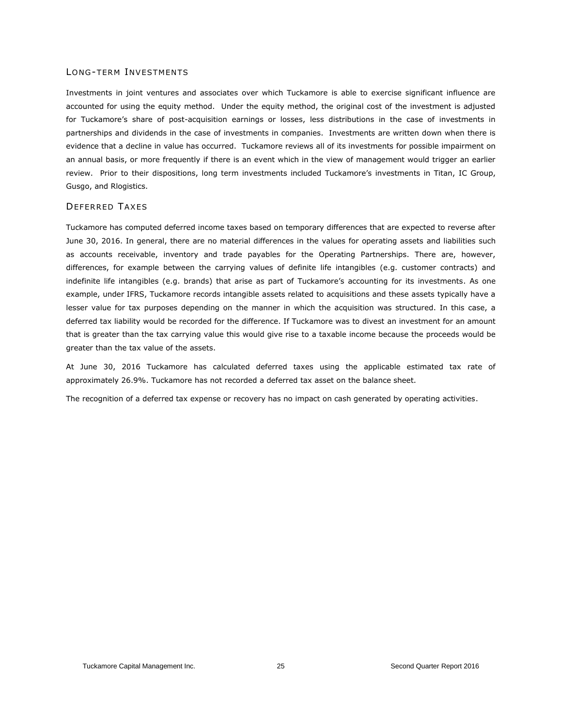#### LONG-TERM INVESTMENTS

Investments in joint ventures and associates over which Tuckamore is able to exercise significant influence are accounted for using the equity method. Under the equity method, the original cost of the investment is adjusted for Tuckamore's share of post-acquisition earnings or losses, less distributions in the case of investments in partnerships and dividends in the case of investments in companies. Investments are written down when there is evidence that a decline in value has occurred. Tuckamore reviews all of its investments for possible impairment on an annual basis, or more frequently if there is an event which in the view of management would trigger an earlier review. Prior to their dispositions, long term investments included Tuckamore's investments in Titan, IC Group, Gusgo, and Rlogistics.

#### DEFERRED TAXES

Tuckamore has computed deferred income taxes based on temporary differences that are expected to reverse after June 30, 2016. In general, there are no material differences in the values for operating assets and liabilities such as accounts receivable, inventory and trade payables for the Operating Partnerships. There are, however, differences, for example between the carrying values of definite life intangibles (e.g. customer contracts) and indefinite life intangibles (e.g. brands) that arise as part of Tuckamore's accounting for its investments. As one example, under IFRS, Tuckamore records intangible assets related to acquisitions and these assets typically have a lesser value for tax purposes depending on the manner in which the acquisition was structured. In this case, a deferred tax liability would be recorded for the difference. If Tuckamore was to divest an investment for an amount that is greater than the tax carrying value this would give rise to a taxable income because the proceeds would be greater than the tax value of the assets.

At June 30, 2016 Tuckamore has calculated deferred taxes using the applicable estimated tax rate of approximately 26.9%. Tuckamore has not recorded a deferred tax asset on the balance sheet.

The recognition of a deferred tax expense or recovery has no impact on cash generated by operating activities.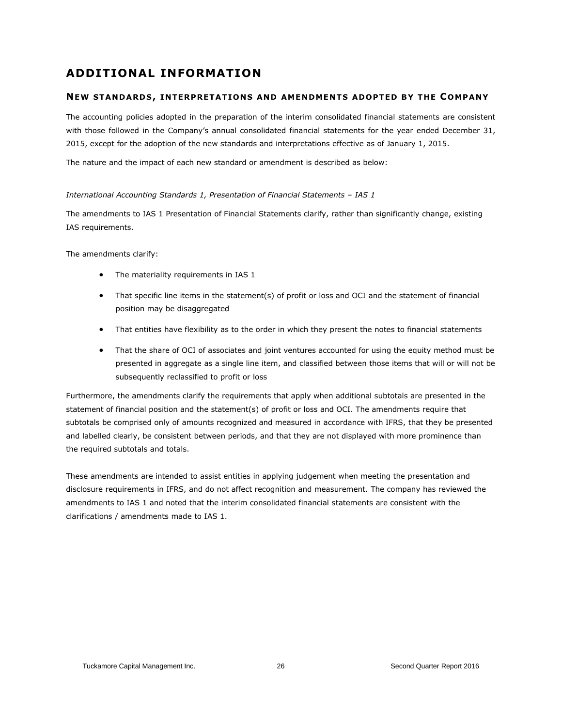## **ADDITIONAL INFORMATION**

### **NEW STANDARD S, INTERPRETAT ION S AND AMENDMENT S ADOPTED BY THE COMPANY**

The accounting policies adopted in the preparation of the interim consolidated financial statements are consistent with those followed in the Company's annual consolidated financial statements for the year ended December 31, 2015, except for the adoption of the new standards and interpretations effective as of January 1, 2015.

The nature and the impact of each new standard or amendment is described as below:

*International Accounting Standards 1, Presentation of Financial Statements – IAS 1*

The amendments to [IAS 1 Presentation of Financial Statements](http://gaait-aa.ey.net/Document.aspx?gotoString=IAS%201&ProductId=115&IsTreeForTesting=False) clarify, rather than significantly change, existing IAS requirements.

The amendments clarify:

- The materiality requirements in IAS 1
- That specific line items in the statement(s) of profit or loss and OCI and the statement of financial position may be disaggregated
- That entities have flexibility as to the order in which they present the notes to financial statements
- That the share of OCI of associates and joint ventures accounted for using the equity method must be presented in aggregate as a single line item, and classified between those items that will or will not be subsequently reclassified to profit or loss

Furthermore, the amendments clarify the requirements that apply when additional subtotals are presented in the statement of financial position and the statement(s) of profit or loss and OCI. The amendments require that subtotals be comprised only of amounts recognized and measured in accordance with IFRS, that they be presented and labelled clearly, be consistent between periods, and that they are not displayed with more prominence than the required subtotals and totals.

These amendments are intended to assist entities in applying judgement when meeting the presentation and disclosure requirements in IFRS, and do not affect recognition and measurement. The company has reviewed the amendments to IAS 1 and noted that the interim consolidated financial statements are consistent with the clarifications / amendments made to IAS 1.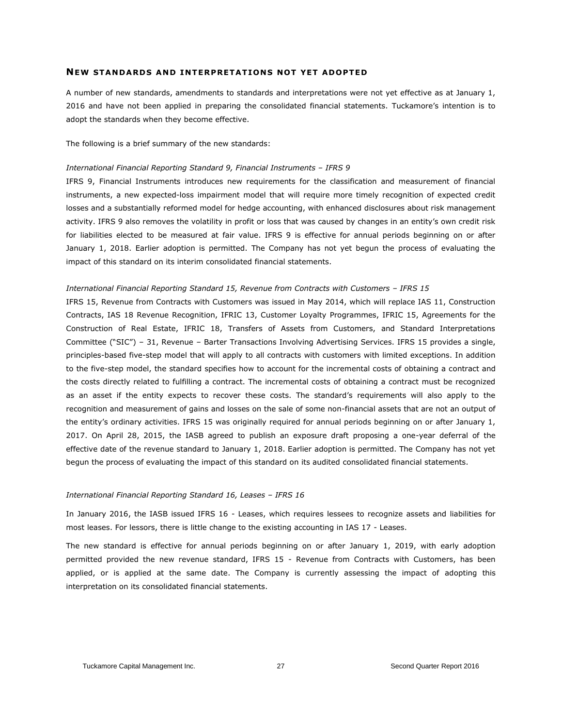#### **NEW STANDARDS AND INTERPRETATIONS NOT YET ADOPTED**

A number of new standards, amendments to standards and interpretations were not yet effective as at January 1, 2016 and have not been applied in preparing the consolidated financial statements. Tuckamore's intention is to adopt the standards when they become effective.

The following is a brief summary of the new standards:

#### *International Financial Reporting Standard 9, Financial Instruments – IFRS 9*

IFRS 9, Financial Instruments introduces new requirements for the classification and measurement of financial instruments, a new expected-loss impairment model that will require more timely recognition of expected credit losses and a substantially reformed model for hedge accounting, with enhanced disclosures about risk management activity. IFRS 9 also removes the volatility in profit or loss that was caused by changes in an entity's own credit risk for liabilities elected to be measured at fair value. IFRS 9 is effective for annual periods beginning on or after January 1, 2018. Earlier adoption is permitted. The Company has not yet begun the process of evaluating the impact of this standard on its interim consolidated financial statements.

#### *International Financial Reporting Standard 15, Revenue from Contracts with Customers - IFRS 15*

IFRS 15, Revenue from Contracts with Customers was issued in May 2014, which will replace IAS 11, Construction Contracts, IAS 18 Revenue Recognition, IFRIC 13, Customer Loyalty Programmes, IFRIC 15, Agreements for the Construction of Real Estate, IFRIC 18, Transfers of Assets from Customers, and Standard Interpretations Committee ("SIC") – 31, Revenue – Barter Transactions Involving Advertising Services. IFRS 15 provides a single, principles-based five-step model that will apply to all contracts with customers with limited exceptions. In addition to the five-step model, the standard specifies how to account for the incremental costs of obtaining a contract and the costs directly related to fulfilling a contract. The incremental costs of obtaining a contract must be recognized as an asset if the entity expects to recover these costs. The standard's requirements will also apply to the recognition and measurement of gains and losses on the sale of some non-financial assets that are not an output of the entity's ordinary activities. IFRS 15 was originally required for annual periods beginning on or after January 1, 2017. On April 28, 2015, the IASB agreed to publish an exposure draft proposing a one-year deferral of the effective date of the revenue standard to January 1, 2018. Earlier adoption is permitted. The Company has not yet begun the process of evaluating the impact of this standard on its audited consolidated financial statements.

#### *International Financial Reporting Standard 16, Leases – IFRS 16*

In January 2016, the IASB issued IFRS 16 - Leases, which requires lessees to recognize assets and liabilities for most leases. For lessors, there is little change to the existing accounting in IAS 17 - Leases.

The new standard is effective for annual periods beginning on or after January 1, 2019, with early adoption permitted provided the new revenue standard, IFRS 15 - Revenue from Contracts with Customers, has been applied, or is applied at the same date. The Company is currently assessing the impact of adopting this interpretation on its consolidated financial statements.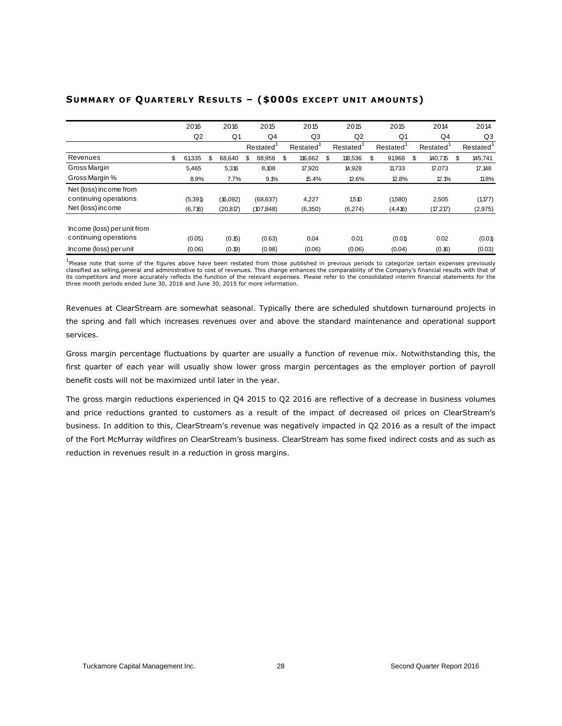|                             | 2016           | 2016         | 2015         | 2015          | 2015          | 2015           | 2014          | 2014          |
|-----------------------------|----------------|--------------|--------------|---------------|---------------|----------------|---------------|---------------|
|                             | Q <sub>2</sub> | Q1           | Q4           | Q3            | Q2            | Q <sub>1</sub> | Q4            | Q3            |
|                             |                |              | Restated     | Restated      | Restated      | Restated       | Restated      | Restated      |
| Revenues                    | \$<br>61,335   | \$<br>68.640 | \$<br>88,956 | \$<br>116,662 | \$<br>118.536 | \$<br>91,968   | \$<br>140.715 | \$<br>145,741 |
| Gross Margin                | 5,465          | 5,316        | 8,108        | 17,920        | 14,928        | 11,733         | 17,073        | 17,148        |
| Gross Margin %              | 8.9%           | 7.7%         | 9.1%         | 15.4%         | 12.6%         | 12.8%          | 12.1%         | 11.8%         |
| Net (loss) income from      |                |              |              |               |               |                |               |               |
| continuing operations       | (5,391)        | (16,092)     | (68, 637)    | 4,227         | 1,510         | (1,580)        | 2,505         | (1, 177)      |
| Net (loss) income           | (6,716)        | (20, 817)    | (107, 848)   | (6,350)       | (6,274)       | (4, 416)       | (17, 217)     | (2, 975)      |
|                             |                |              |              |               |               |                |               |               |
| Income (loss) per unit from |                |              |              |               |               |                |               |               |
| continuing operations       | (0.05)         | (0.15)       | (0.63)       | 0.04          | 0.01          | (0.01)         | 0.02          | (0.01)        |
| Income (loss) per unit      | (0.06)         | (0.19)       | (0.98)       | (0.06)        | (0.06)        | (0.04)         | (0.16)        | (0.03)        |

## **SUMMA RY OF QUARTE RL Y RE SULT S – (\$000S EXCEPT UN IT AMOUNT S)**

1<br>Please note that some of the figures above have been restated from those published in previous periods to categorize certain expenses previously classified as selling,general and administrative to cost of revenues. This change enhances the comparability of the Company's financial results with that of its competitors and more accurately reflects the function of the relevant expenses. Please refer to the consolidated interim financial statements for the<br>three month periods ended June 30, 2016 and June 30, 2015 for more i

Revenues at ClearStream are somewhat seasonal. Typically there are scheduled shutdown turnaround projects in the spring and fall which increases revenues over and above the standard maintenance and operational support services.

Gross margin percentage fluctuations by quarter are usually a function of revenue mix. Notwithstanding this, the first quarter of each year will usually show lower gross margin percentages as the employer portion of payroll benefit costs will not be maximized until later in the year.

The gross margin reductions experienced in Q4 2015 to Q2 2016 are reflective of a decrease in business volumes and price reductions granted to customers as a result of the impact of decreased oil prices on ClearStream's business. In addition to this, ClearStream's revenue was negatively impacted in Q2 2016 as a result of the impact of the Fort McMurray wildfires on ClearStream's business. ClearStream has some fixed indirect costs and as such as reduction in revenues result in a reduction in gross margins.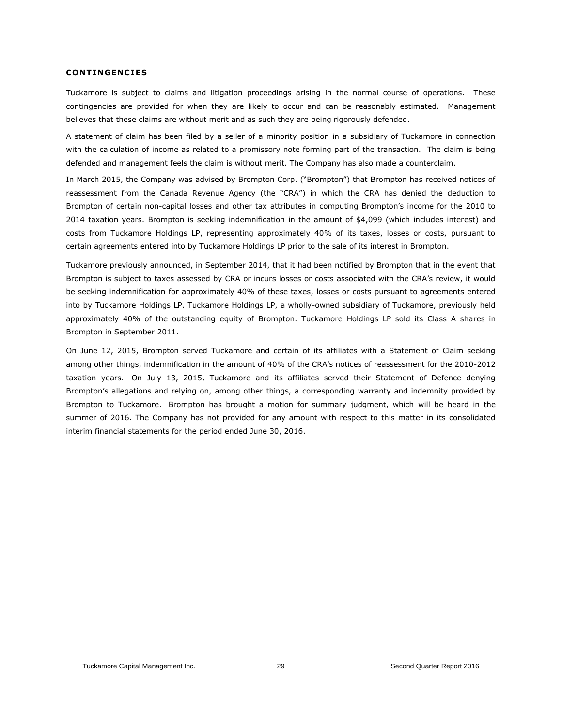#### **CONT INGEN C IE S**

Tuckamore is subject to claims and litigation proceedings arising in the normal course of operations. These contingencies are provided for when they are likely to occur and can be reasonably estimated. Management believes that these claims are without merit and as such they are being rigorously defended.

A statement of claim has been filed by a seller of a minority position in a subsidiary of Tuckamore in connection with the calculation of income as related to a promissory note forming part of the transaction. The claim is being defended and management feels the claim is without merit. The Company has also made a counterclaim.

In March 2015, the Company was advised by Brompton Corp. ("Brompton") that Brompton has received notices of reassessment from the Canada Revenue Agency (the "CRA") in which the CRA has denied the deduction to Brompton of certain non-capital losses and other tax attributes in computing Brompton's income for the 2010 to 2014 taxation years. Brompton is seeking indemnification in the amount of \$4,099 (which includes interest) and costs from Tuckamore Holdings LP, representing approximately 40% of its taxes, losses or costs, pursuant to certain agreements entered into by Tuckamore Holdings LP prior to the sale of its interest in Brompton.

Tuckamore previously announced, in September 2014, that it had been notified by Brompton that in the event that Brompton is subject to taxes assessed by CRA or incurs losses or costs associated with the CRA's review, it would be seeking indemnification for approximately 40% of these taxes, losses or costs pursuant to agreements entered into by Tuckamore Holdings LP. Tuckamore Holdings LP, a wholly-owned subsidiary of Tuckamore, previously held approximately 40% of the outstanding equity of Brompton. Tuckamore Holdings LP sold its Class A shares in Brompton in September 2011.

On June 12, 2015, Brompton served Tuckamore and certain of its affiliates with a Statement of Claim seeking among other things, indemnification in the amount of 40% of the CRA's notices of reassessment for the 2010-2012 taxation years. On July 13, 2015, Tuckamore and its affiliates served their Statement of Defence denying Brompton's allegations and relying on, among other things, a corresponding warranty and indemnity provided by Brompton to Tuckamore. Brompton has brought a motion for summary judgment, which will be heard in the summer of 2016. The Company has not provided for any amount with respect to this matter in its consolidated interim financial statements for the period ended June 30, 2016.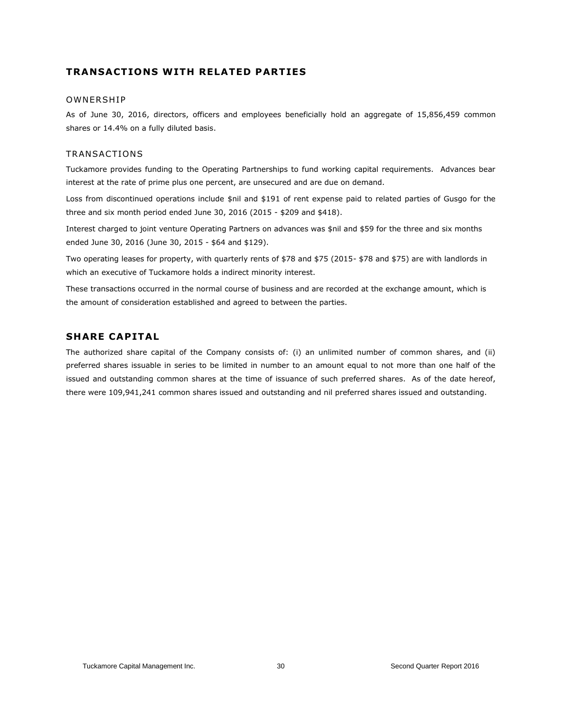## **TRANSACT IONS W ITH RELATED PART IES**

#### **OWNERSHIP**

As of June 30, 2016, directors, officers and employees beneficially hold an aggregate of 15,856,459 common shares or 14.4% on a fully diluted basis.

#### TRANSACTIONS

Tuckamore provides funding to the Operating Partnerships to fund working capital requirements. Advances bear interest at the rate of prime plus one percent, are unsecured and are due on demand.

Loss from discontinued operations include \$nil and \$191 of rent expense paid to related parties of Gusgo for the three and six month period ended June 30, 2016 (2015 - \$209 and \$418).

Interest charged to joint venture Operating Partners on advances was \$nil and \$59 for the three and six months ended June 30, 2016 (June 30, 2015 - \$64 and \$129).

Two operating leases for property, with quarterly rents of \$78 and \$75 (2015- \$78 and \$75) are with landlords in which an executive of Tuckamore holds a indirect minority interest.

These transactions occurred in the normal course of business and are recorded at the exchange amount, which is the amount of consideration established and agreed to between the parties.

## **SHARE CAPITAL**

The authorized share capital of the Company consists of: (i) an unlimited number of common shares, and (ii) preferred shares issuable in series to be limited in number to an amount equal to not more than one half of the issued and outstanding common shares at the time of issuance of such preferred shares. As of the date hereof, there were 109,941,241 common shares issued and outstanding and nil preferred shares issued and outstanding.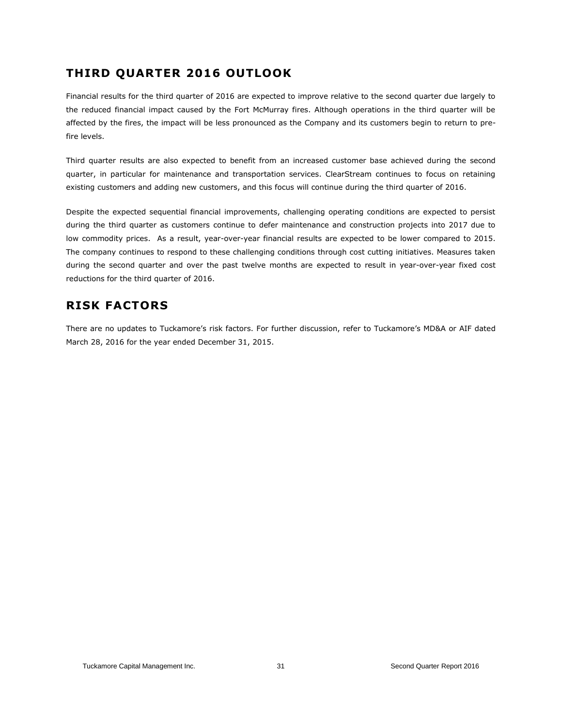## **THIRD QUARTER 2016 OUTLOOK**

Financial results for the third quarter of 2016 are expected to improve relative to the second quarter due largely to the reduced financial impact caused by the Fort McMurray fires. Although operations in the third quarter will be affected by the fires, the impact will be less pronounced as the Company and its customers begin to return to prefire levels.

Third quarter results are also expected to benefit from an increased customer base achieved during the second quarter, in particular for maintenance and transportation services. ClearStream continues to focus on retaining existing customers and adding new customers, and this focus will continue during the third quarter of 2016.

Despite the expected sequential financial improvements, challenging operating conditions are expected to persist during the third quarter as customers continue to defer maintenance and construction projects into 2017 due to low commodity prices. As a result, year-over-year financial results are expected to be lower compared to 2015. The company continues to respond to these challenging conditions through cost cutting initiatives. Measures taken during the second quarter and over the past twelve months are expected to result in year-over-year fixed cost reductions for the third quarter of 2016.

## **RISK FACTORS**

There are no updates to Tuckamore's risk factors. For further discussion, refer to Tuckamore's MD&A or AIF dated March 28, 2016 for the year ended December 31, 2015.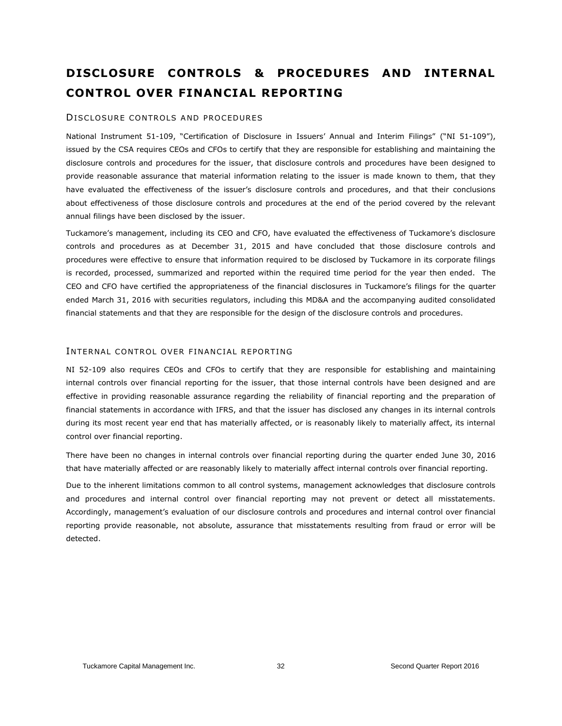## **DISCLOSURE CONTROLS & PROCEDURES AND INTERNAL CONTROL OVER FINANCIAL REPORTING**

#### DISCLOSURE CONTROLS AND PROCEDURES

National Instrument 51-109, "Certification of Disclosure in Issuers' Annual and Interim Filings" ("NI 51-109"), issued by the CSA requires CEOs and CFOs to certify that they are responsible for establishing and maintaining the disclosure controls and procedures for the issuer, that disclosure controls and procedures have been designed to provide reasonable assurance that material information relating to the issuer is made known to them, that they have evaluated the effectiveness of the issuer's disclosure controls and procedures, and that their conclusions about effectiveness of those disclosure controls and procedures at the end of the period covered by the relevant annual filings have been disclosed by the issuer.

Tuckamore's management, including its CEO and CFO, have evaluated the effectiveness of Tuckamore's disclosure controls and procedures as at December 31, 2015 and have concluded that those disclosure controls and procedures were effective to ensure that information required to be disclosed by Tuckamore in its corporate filings is recorded, processed, summarized and reported within the required time period for the year then ended. The CEO and CFO have certified the appropriateness of the financial disclosures in Tuckamore's filings for the quarter ended March 31, 2016 with securities regulators, including this MD&A and the accompanying audited consolidated financial statements and that they are responsible for the design of the disclosure controls and procedures.

#### INTERNAL CONTROL OVER FINANCIAL REPORTING

NI 52-109 also requires CEOs and CFOs to certify that they are responsible for establishing and maintaining internal controls over financial reporting for the issuer, that those internal controls have been designed and are effective in providing reasonable assurance regarding the reliability of financial reporting and the preparation of financial statements in accordance with IFRS, and that the issuer has disclosed any changes in its internal controls during its most recent year end that has materially affected, or is reasonably likely to materially affect, its internal control over financial reporting.

There have been no changes in internal controls over financial reporting during the quarter ended June 30, 2016 that have materially affected or are reasonably likely to materially affect internal controls over financial reporting.

Due to the inherent limitations common to all control systems, management acknowledges that disclosure controls and procedures and internal control over financial reporting may not prevent or detect all misstatements. Accordingly, management's evaluation of our disclosure controls and procedures and internal control over financial reporting provide reasonable, not absolute, assurance that misstatements resulting from fraud or error will be detected.